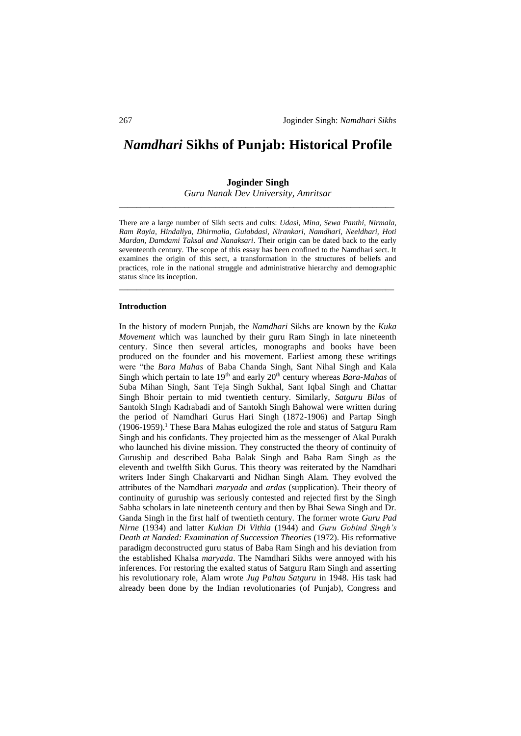# *Namdhari* **Sikhs of Punjab: Historical Profile**

# **Joginder Singh**

*Guru Nanak Dev University, Amritsar* \_\_\_\_\_\_\_\_\_\_\_\_\_\_\_\_\_\_\_\_\_\_\_\_\_\_\_\_\_\_\_\_\_\_\_\_\_\_\_\_\_\_\_\_\_\_\_\_\_\_\_\_\_\_\_\_\_\_\_\_\_\_\_

There are a large number of Sikh sects and cults: *Udasi, Mina, Sewa Panthi, Nirmala, Ram Rayia, Hindaliya, Dhirmalia, Gulabdasi, Nirankari, Namdhari, Neeldhari, Hoti Mardan, Damdami Taksal and Nanaksari*. Their origin can be dated back to the early seventeenth century. The scope of this essay has been confined to the Namdhari sect. It examines the origin of this sect, a transformation in the structures of beliefs and practices, role in the national struggle and administrative hierarchy and demographic status since its inception.

\_\_\_\_\_\_\_\_\_\_\_\_\_\_\_\_\_\_\_\_\_\_\_\_\_\_\_\_\_\_\_\_\_\_\_\_\_\_\_\_\_\_\_\_\_\_\_\_\_\_\_\_\_\_\_\_\_\_\_\_\_\_\_

## **Introduction**

In the history of modern Punjab, the *Namdhari* Sikhs are known by the *Kuka Movement* which was launched by their guru Ram Singh in late nineteenth century. Since then several articles, monographs and books have been produced on the founder and his movement. Earliest among these writings were "the *Bara Mahas* of Baba Chanda Singh, Sant Nihal Singh and Kala Singh which pertain to late 19<sup>th</sup> and early 20<sup>th</sup> century whereas *Bara-Mahas* of Suba Mihan Singh, Sant Teja Singh Sukhal, Sant Iqbal Singh and Chattar Singh Bhoir pertain to mid twentieth century. Similarly, *Satguru Bilas* of Santokh SIngh Kadrabadi and of Santokh Singh Bahowal were written during the period of Namdhari Gurus Hari Singh (1872-1906) and Partap Singh  $(1906-1959)$ .<sup>1</sup> These Bara Mahas eulogized the role and status of Satguru Ram Singh and his confidants. They projected him as the messenger of Akal Purakh who launched his divine mission. They constructed the theory of continuity of Guruship and described Baba Balak Singh and Baba Ram Singh as the eleventh and twelfth Sikh Gurus. This theory was reiterated by the Namdhari writers Inder Singh Chakarvarti and Nidhan Singh Alam. They evolved the attributes of the Namdhari *maryada* and *ardas* (supplication). Their theory of continuity of guruship was seriously contested and rejected first by the Singh Sabha scholars in late nineteenth century and then by Bhai Sewa Singh and Dr. Ganda Singh in the first half of twentieth century. The former wrote *Guru Pad Nirne* (1934) and latter *Kukian Di Vithia* (1944) and *Guru Gobind Singh's Death at Nanded: Examination of Succession Theories* (1972). His reformative paradigm deconstructed guru status of Baba Ram Singh and his deviation from the established Khalsa *maryada*. The Namdhari Sikhs were annoyed with his inferences. For restoring the exalted status of Satguru Ram Singh and asserting his revolutionary role, Alam wrote *Jug Paltau Satguru* in 1948. His task had already been done by the Indian revolutionaries (of Punjab), Congress and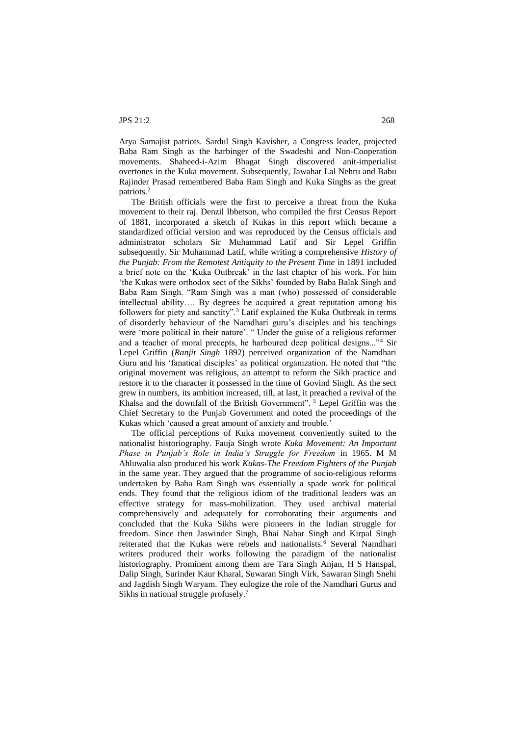Arya Samajist patriots. Sardul Singh Kavisher, a Congress leader, projected Baba Ram Singh as the harbinger of the Swadeshi and Non-Cooperation movements. Shaheed-i-Azim Bhagat Singh discovered anit-imperialist overtones in the Kuka movement. Subsequently, Jawahar Lal Nehru and Babu Rajinder Prasad remembered Baba Ram Singh and Kuka Singhs as the great patriots.<sup>2</sup>

The British officials were the first to perceive a threat from the Kuka movement to their raj. Denzil Ibbetson, who compiled the first Census Report of 1881, incorporated a sketch of Kukas in this report which became a standardized official version and was reproduced by the Census officials and administrator scholars Sir Muhammad Latif and Sir Lepel Griffin subsequently. Sir Muhammad Latif, while writing a comprehensive *History of the Punjab: From the Remotest Antiquity to the Present Time in 1891 included* a brief note on the 'Kuka Outbreak' in the last chapter of his work. For him 'the Kukas were orthodox sect of the Sikhs' founded by Baba Balak Singh and Baba Ram Singh. "Ram Singh was a man (who) possessed of considerable intellectual ability…. By degrees he acquired a great reputation among his followers for piety and sanctity".<sup>3</sup> Latif explained the Kuka Outbreak in terms of disorderly behaviour of the Namdhari guru's disciples and his teachings were 'more political in their nature'. " Under the guise of a religious reformer and a teacher of moral precepts, he harboured deep political designs..."<sup>4</sup> Sir Lepel Griffin (*Ranjit Singh* 1892) perceived organization of the Namdhari Guru and his 'fanatical disciples' as political organization. He noted that "the original movement was religious, an attempt to reform the Sikh practice and restore it to the character it possessed in the time of Govind Singh. As the sect grew in numbers, its ambition increased, till, at last, it preached a revival of the Khalsa and the downfall of the British Government".<sup>5</sup> Lepel Griffin was the Chief Secretary to the Punjab Government and noted the proceedings of the Kukas which 'caused a great amount of anxiety and trouble.'

The official perceptions of Kuka movement conveniently suited to the nationalist historiography. Fauja Singh wrote *Kuka Movement: An Important Phase in Punjab's Role in India's Struggle for Freedom* in 1965. M M Ahluwalia also produced his work *Kukas-The Freedom Fighters of the Punjab* in the same year. They argued that the programme of socio-religious reforms undertaken by Baba Ram Singh was essentially a spade work for political ends. They found that the religious idiom of the traditional leaders was an effective strategy for mass-mobilization. They used archival material comprehensively and adequately for corroborating their arguments and concluded that the Kuka Sikhs were pioneers in the Indian struggle for freedom. Since then Jaswinder Singh, Bhai Nahar Singh and Kirpal Singh reiterated that the Kukas were rebels and nationalists.<sup>6</sup> Several Namdhari writers produced their works following the paradigm of the nationalist historiography. Prominent among them are Tara Singh Anjan, H S Hanspal, Dalip Singh, Surinder Kaur Kharal, Suwaran Singh Virk, Sawaran Singh Snehi and Jagdish Singh Waryam. They eulogize the role of the Namdhari Gurus and Sikhs in national struggle profusely.<sup>7</sup>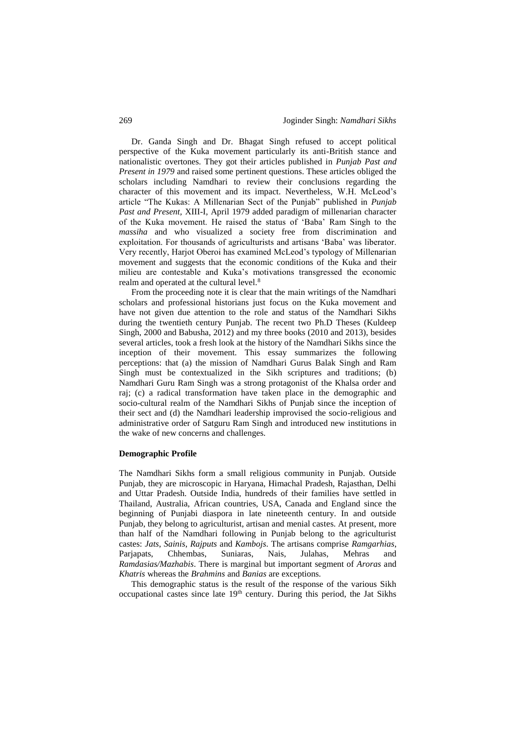Dr. Ganda Singh and Dr. Bhagat Singh refused to accept political perspective of the Kuka movement particularly its anti-British stance and nationalistic overtones. They got their articles published in *Punjab Past and Present in 1979* and raised some pertinent questions. These articles obliged the scholars including Namdhari to review their conclusions regarding the character of this movement and its impact. Nevertheless, W.H. McLeod's article "The Kukas: A Millenarian Sect of the Punjab" published in *Punjab Past and Present,* XIII-I, April 1979 added paradigm of millenarian character of the Kuka movement. He raised the status of 'Baba' Ram Singh to the *massiha* and who visualized a society free from discrimination and exploitation. For thousands of agriculturists and artisans 'Baba' was liberator. Very recently, Harjot Oberoi has examined McLeod's typology of Millenarian movement and suggests that the economic conditions of the Kuka and their milieu are contestable and Kuka's motivations transgressed the economic realm and operated at the cultural level.<sup>8</sup>

From the proceeding note it is clear that the main writings of the Namdhari scholars and professional historians just focus on the Kuka movement and have not given due attention to the role and status of the Namdhari Sikhs during the twentieth century Punjab. The recent two Ph.D Theses (Kuldeep Singh, 2000 and Babusha, 2012) and my three books (2010 and 2013), besides several articles, took a fresh look at the history of the Namdhari Sikhs since the inception of their movement. This essay summarizes the following perceptions: that (a) the mission of Namdhari Gurus Balak Singh and Ram Singh must be contextualized in the Sikh scriptures and traditions; (b) Namdhari Guru Ram Singh was a strong protagonist of the Khalsa order and raj; (c) a radical transformation have taken place in the demographic and socio-cultural realm of the Namdhari Sikhs of Punjab since the inception of their sect and (d) the Namdhari leadership improvised the socio-religious and administrative order of Satguru Ram Singh and introduced new institutions in the wake of new concerns and challenges.

#### **Demographic Profile**

The Namdhari Sikhs form a small religious community in Punjab. Outside Punjab, they are microscopic in Haryana, Himachal Pradesh, Rajasthan, Delhi and Uttar Pradesh. Outside India, hundreds of their families have settled in Thailand, Australia, African countries, USA, Canada and England since the beginning of Punjabi diaspora in late nineteenth century. In and outside Punjab, they belong to agriculturist, artisan and menial castes. At present, more than half of the Namdhari following in Punjab belong to the agriculturist castes: *Jats*, *Sainis*, *Rajputs* and *Kambojs*. The artisans comprise *Ramgarhias*, Parjapats, Chhembas, Suniaras, Nais, Julahas, Mehras and *Ramdasias/Mazhabis*. There is marginal but important segment of *Aroras* and *Khatris* whereas the *Brahmins* and *Banias* are exceptions.

This demographic status is the result of the response of the various Sikh occupational castes since late 19th century. During this period, the Jat Sikhs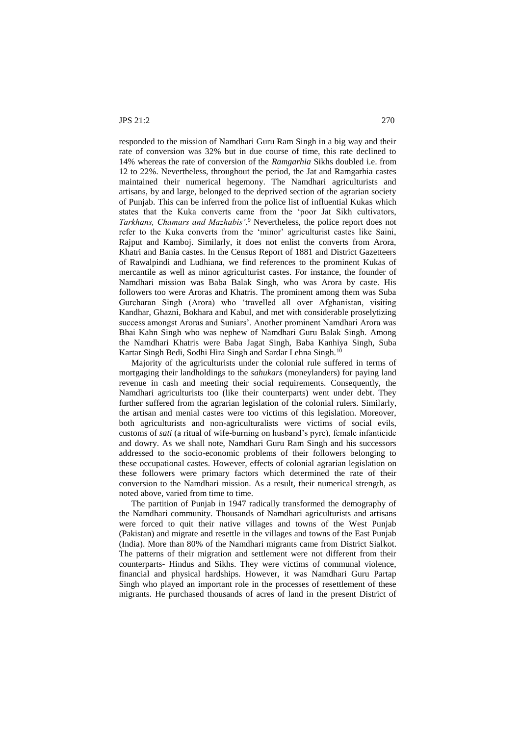responded to the mission of Namdhari Guru Ram Singh in a big way and their rate of conversion was 32% but in due course of time, this rate declined to 14% whereas the rate of conversion of the *Ramgarhia* Sikhs doubled i.e. from 12 to 22%. Nevertheless, throughout the period, the Jat and Ramgarhia castes maintained their numerical hegemony. The Namdhari agriculturists and artisans, by and large, belonged to the deprived section of the agrarian society of Punjab. This can be inferred from the police list of influential Kukas which states that the Kuka converts came from the 'poor Jat Sikh cultivators, *Tarkhans, Chamars and Mazhabis'*. <sup>9</sup> Nevertheless, the police report does not refer to the Kuka converts from the 'minor' agriculturist castes like Saini, Rajput and Kamboj. Similarly, it does not enlist the converts from Arora, Khatri and Bania castes. In the Census Report of 1881 and District Gazetteers of Rawalpindi and Ludhiana, we find references to the prominent Kukas of mercantile as well as minor agriculturist castes. For instance, the founder of Namdhari mission was Baba Balak Singh, who was Arora by caste. His followers too were Aroras and Khatris. The prominent among them was Suba Gurcharan Singh (Arora) who 'travelled all over Afghanistan, visiting Kandhar, Ghazni, Bokhara and Kabul, and met with considerable proselytizing success amongst Aroras and Suniars'. Another prominent Namdhari Arora was Bhai Kahn Singh who was nephew of Namdhari Guru Balak Singh. Among the Namdhari Khatris were Baba Jagat Singh, Baba Kanhiya Singh, Suba Kartar Singh Bedi, Sodhi Hira Singh and Sardar Lehna Singh.<sup>10</sup>

Majority of the agriculturists under the colonial rule suffered in terms of mortgaging their landholdings to the *sahukars* (moneylanders) for paying land revenue in cash and meeting their social requirements. Consequently, the Namdhari agriculturists too (like their counterparts) went under debt. They further suffered from the agrarian legislation of the colonial rulers. Similarly, the artisan and menial castes were too victims of this legislation. Moreover, both agriculturists and non-agriculturalists were victims of social evils, customs of *sati* (a ritual of wife-burning on husband's pyre), female infanticide and dowry. As we shall note, Namdhari Guru Ram Singh and his successors addressed to the socio-economic problems of their followers belonging to these occupational castes. However, effects of colonial agrarian legislation on these followers were primary factors which determined the rate of their conversion to the Namdhari mission. As a result, their numerical strength, as noted above, varied from time to time.

The partition of Punjab in 1947 radically transformed the demography of the Namdhari community. Thousands of Namdhari agriculturists and artisans were forced to quit their native villages and towns of the West Punjab (Pakistan) and migrate and resettle in the villages and towns of the East Punjab (India). More than 80% of the Namdhari migrants came from District Sialkot. The patterns of their migration and settlement were not different from their counterparts- Hindus and Sikhs. They were victims of communal violence, financial and physical hardships. However, it was Namdhari Guru Partap Singh who played an important role in the processes of resettlement of these migrants. He purchased thousands of acres of land in the present District of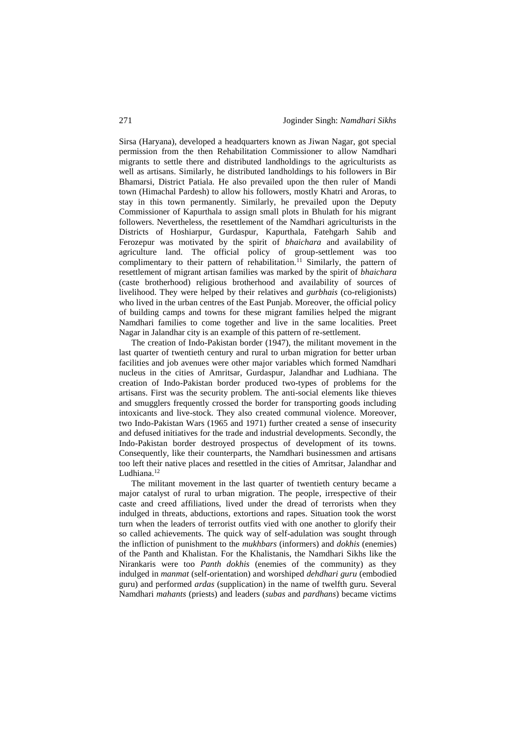Sirsa (Haryana), developed a headquarters known as Jiwan Nagar, got special permission from the then Rehabilitation Commissioner to allow Namdhari migrants to settle there and distributed landholdings to the agriculturists as well as artisans. Similarly, he distributed landholdings to his followers in Bir Bhamarsi, District Patiala. He also prevailed upon the then ruler of Mandi town (Himachal Pardesh) to allow his followers, mostly Khatri and Aroras, to stay in this town permanently. Similarly, he prevailed upon the Deputy Commissioner of Kapurthala to assign small plots in Bhulath for his migrant followers. Nevertheless, the resettlement of the Namdhari agriculturists in the Districts of Hoshiarpur, Gurdaspur, Kapurthala, Fatehgarh Sahib and Ferozepur was motivated by the spirit of *bhaichara* and availability of agriculture land. The official policy of group-settlement was too complimentary to their pattern of rehabilitation.<sup>11</sup> Similarly, the pattern of resettlement of migrant artisan families was marked by the spirit of *bhaichara* (caste brotherhood) religious brotherhood and availability of sources of livelihood. They were helped by their relatives and *gurbhais* (co-religionists) who lived in the urban centres of the East Punjab. Moreover, the official policy of building camps and towns for these migrant families helped the migrant Namdhari families to come together and live in the same localities. Preet Nagar in Jalandhar city is an example of this pattern of re-settlement.

The creation of Indo-Pakistan border (1947), the militant movement in the last quarter of twentieth century and rural to urban migration for better urban facilities and job avenues were other major variables which formed Namdhari nucleus in the cities of Amritsar, Gurdaspur, Jalandhar and Ludhiana. The creation of Indo-Pakistan border produced two-types of problems for the artisans. First was the security problem. The anti-social elements like thieves and smugglers frequently crossed the border for transporting goods including intoxicants and live-stock. They also created communal violence. Moreover, two Indo-Pakistan Wars (1965 and 1971) further created a sense of insecurity and defused initiatives for the trade and industrial developments. Secondly, the Indo-Pakistan border destroyed prospectus of development of its towns. Consequently, like their counterparts, the Namdhari businessmen and artisans too left their native places and resettled in the cities of Amritsar, Jalandhar and Ludhiana.<sup>12</sup>

The militant movement in the last quarter of twentieth century became a major catalyst of rural to urban migration. The people, irrespective of their caste and creed affiliations, lived under the dread of terrorists when they indulged in threats, abductions, extortions and rapes. Situation took the worst turn when the leaders of terrorist outfits vied with one another to glorify their so called achievements. The quick way of self-adulation was sought through the infliction of punishment to the *mukhbars* (informers) and *dokhis* (enemies) of the Panth and Khalistan. For the Khalistanis, the Namdhari Sikhs like the Nirankaris were too *Panth dokhis* (enemies of the community) as they indulged in *manmat* (self-orientation) and worshiped *dehdhari guru* (embodied guru) and performed *ardas* (supplication) in the name of twelfth guru. Several Namdhari *mahants* (priests) and leaders (*subas* and *pardhans*) became victims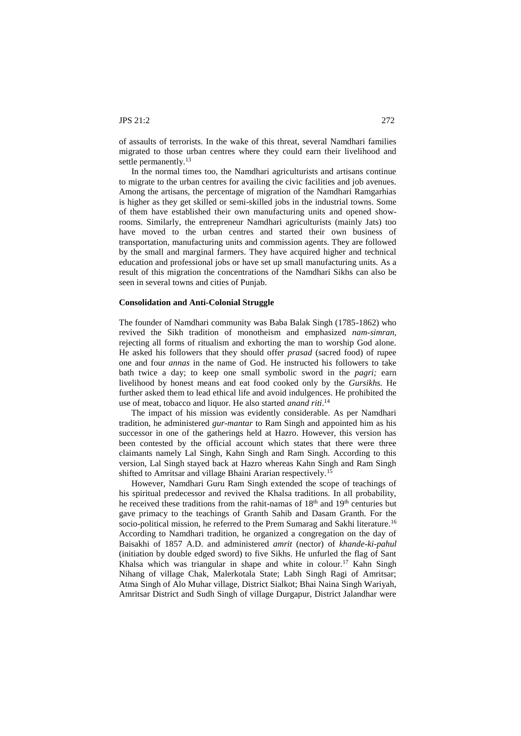of assaults of terrorists. In the wake of this threat, several Namdhari families migrated to those urban centres where they could earn their livelihood and settle permanently.<sup>13</sup>

In the normal times too, the Namdhari agriculturists and artisans continue to migrate to the urban centres for availing the civic facilities and job avenues. Among the artisans, the percentage of migration of the Namdhari Ramgarhias is higher as they get skilled or semi-skilled jobs in the industrial towns. Some of them have established their own manufacturing units and opened showrooms. Similarly, the entrepreneur Namdhari agriculturists (mainly Jats) too have moved to the urban centres and started their own business of transportation, manufacturing units and commission agents. They are followed by the small and marginal farmers. They have acquired higher and technical education and professional jobs or have set up small manufacturing units. As a result of this migration the concentrations of the Namdhari Sikhs can also be seen in several towns and cities of Punjab.

#### **Consolidation and Anti-Colonial Struggle**

The founder of Namdhari community was Baba Balak Singh (1785-1862) who revived the Sikh tradition of monotheism and emphasized *nam-simran,* rejecting all forms of ritualism and exhorting the man to worship God alone. He asked his followers that they should offer *prasad* (sacred food) of rupee one and four *annas* in the name of God. He instructed his followers to take bath twice a day; to keep one small symbolic sword in the *pagri;* earn livelihood by honest means and eat food cooked only by the *Gursikhs.* He further asked them to lead ethical life and avoid indulgences. He prohibited the use of meat, tobacco and liquor. He also started *anand riti*. 14

The impact of his mission was evidently considerable. As per Namdhari tradition, he administered *gur-mantar* to Ram Singh and appointed him as his successor in one of the gatherings held at Hazro. However, this version has been contested by the official account which states that there were three claimants namely Lal Singh, Kahn Singh and Ram Singh. According to this version, Lal Singh stayed back at Hazro whereas Kahn Singh and Ram Singh shifted to Amritsar and village Bhaini Ararian respectively.<sup>15</sup>

However, Namdhari Guru Ram Singh extended the scope of teachings of his spiritual predecessor and revived the Khalsa traditions. In all probability, he received these traditions from the rahit-namas of 18<sup>th</sup> and 19<sup>th</sup> centuries but gave primacy to the teachings of Granth Sahib and Dasam Granth. For the socio-political mission, he referred to the Prem Sumarag and Sakhi literature.<sup>16</sup> According to Namdhari tradition, he organized a congregation on the day of Baisakhi of 1857 A.D. and administered *amrit* (nector) of *khande-ki-pahul*  (initiation by double edged sword) to five Sikhs. He unfurled the flag of Sant Khalsa which was triangular in shape and white in colour.<sup>17</sup> Kahn Singh Nihang of village Chak, Malerkotala State; Labh Singh Ragi of Amritsar; Atma Singh of Alo Muhar village, District Sialkot; Bhai Naina Singh Wariyah, Amritsar District and Sudh Singh of village Durgapur, District Jalandhar were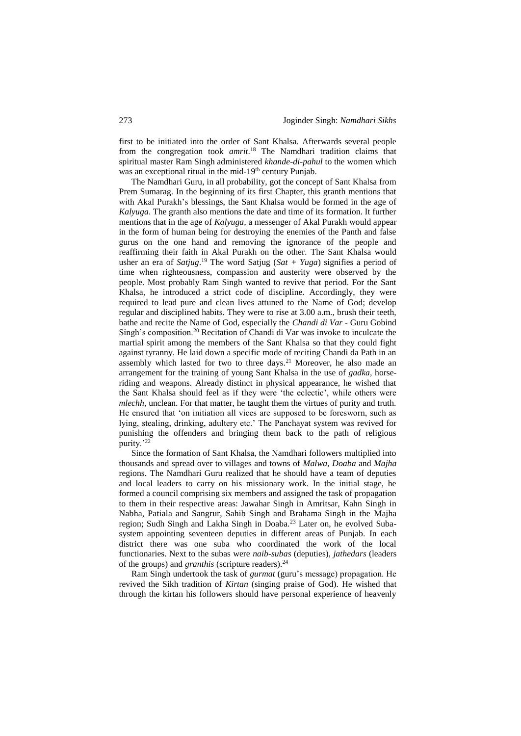first to be initiated into the order of Sant Khalsa. Afterwards several people from the congregation took *amrit*. <sup>18</sup> The Namdhari tradition claims that spiritual master Ram Singh administered *khande-di-pahul* to the women which was an exceptional ritual in the mid-19<sup>th</sup> century Punjab.

The Namdhari Guru, in all probability, got the concept of Sant Khalsa from Prem Sumarag. In the beginning of its first Chapter, this granth mentions that with Akal Purakh's blessings, the Sant Khalsa would be formed in the age of *Kalyuga*. The granth also mentions the date and time of its formation. It further mentions that in the age of *Kalyuga,* a messenger of Akal Purakh would appear in the form of human being for destroying the enemies of the Panth and false gurus on the one hand and removing the ignorance of the people and reaffirming their faith in Akal Purakh on the other*.* The Sant Khalsa would usher an era of *Satjug*. <sup>19</sup> The word Satjug (*Sat + Yuga*) signifies a period of time when righteousness, compassion and austerity were observed by the people. Most probably Ram Singh wanted to revive that period. For the Sant Khalsa, he introduced a strict code of discipline. Accordingly, they were required to lead pure and clean lives attuned to the Name of God; develop regular and disciplined habits. They were to rise at 3.00 a.m., brush their teeth, bathe and recite the Name of God, especially the *Chandi di Var -* Guru Gobind Singh's composition.<sup>20</sup> Recitation of Chandi di Var was invoke to inculcate the martial spirit among the members of the Sant Khalsa so that they could fight against tyranny. He laid down a specific mode of reciting Chandi da Path in an assembly which lasted for two to three days.<sup>21</sup> Moreover, he also made an arrangement for the training of young Sant Khalsa in the use of *gadka,* horseriding and weapons. Already distinct in physical appearance, he wished that the Sant Khalsa should feel as if they were 'the eclectic', while others were *mlechh,* unclean. For that matter, he taught them the virtues of purity and truth. He ensured that 'on initiation all vices are supposed to be foresworn, such as lying, stealing, drinking, adultery etc.' The Panchayat system was revived for punishing the offenders and bringing them back to the path of religious purity.'22

Since the formation of Sant Khalsa, the Namdhari followers multiplied into thousands and spread over to villages and towns of *Malwa*, *Doaba* and *Majha* regions. The Namdhari Guru realized that he should have a team of deputies and local leaders to carry on his missionary work. In the initial stage, he formed a council comprising six members and assigned the task of propagation to them in their respective areas: Jawahar Singh in Amritsar, Kahn Singh in Nabha, Patiala and Sangrur, Sahib Singh and Brahama Singh in the Majha region; Sudh Singh and Lakha Singh in Doaba.<sup>23</sup> Later on, he evolved Subasystem appointing seventeen deputies in different areas of Punjab. In each district there was one suba who coordinated the work of the local functionaries. Next to the subas were *naib-subas* (deputies), *jathedars* (leaders of the groups) and *granthis* (scripture readers).<sup>24</sup>

Ram Singh undertook the task of *gurmat* (guru's message) propagation. He revived the Sikh tradition of *Kirtan* (singing praise of God). He wished that through the kirtan his followers should have personal experience of heavenly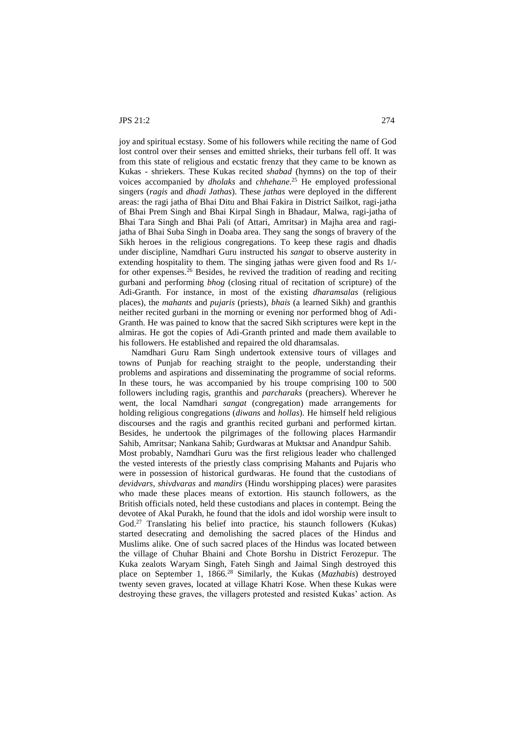joy and spiritual ecstasy. Some of his followers while reciting the name of God lost control over their senses and emitted shrieks, their turbans fell off. It was from this state of religious and ecstatic frenzy that they came to be known as Kukas - shriekers. These Kukas recited *shabad* (hymns) on the top of their voices accompanied by *dholaks* and *chhehane*. <sup>25</sup> He employed professional singers (*ragis* and *dhadi Jathas*). These *jathas* were deployed in the different areas: the ragi jatha of Bhai Ditu and Bhai Fakira in District Sailkot, ragi-jatha of Bhai Prem Singh and Bhai Kirpal Singh in Bhadaur, Malwa, ragi-jatha of Bhai Tara Singh and Bhai Pali (of Attari, Amritsar) in Majha area and ragijatha of Bhai Suba Singh in Doaba area. They sang the songs of bravery of the Sikh heroes in the religious congregations. To keep these ragis and dhadis under discipline, Namdhari Guru instructed his *sangat* to observe austerity in extending hospitality to them. The singing jathas were given food and Rs 1/ for other expenses.<sup>26</sup> Besides, he revived the tradition of reading and reciting gurbani and performing *bhog* (closing ritual of recitation of scripture) of the Adi-Granth. For instance, in most of the existing *dharamsalas* (religious places), the *mahants* and *pujaris* (priests), *bhais* (a learned Sikh) and granthis neither recited gurbani in the morning or evening nor performed bhog of Adi-Granth. He was pained to know that the sacred Sikh scriptures were kept in the almiras. He got the copies of Adi-Granth printed and made them available to his followers. He established and repaired the old dharamsalas.

Namdhari Guru Ram Singh undertook extensive tours of villages and towns of Punjab for reaching straight to the people, understanding their problems and aspirations and disseminating the programme of social reforms. In these tours, he was accompanied by his troupe comprising 100 to 500 followers including ragis, granthis and *parcharaks* (preachers). Wherever he went, the local Namdhari *sangat* (congregation) made arrangements for holding religious congregations (*diwans* and *hollas*). He himself held religious discourses and the ragis and granthis recited gurbani and performed kirtan. Besides, he undertook the pilgrimages of the following places Harmandir Sahib, Amritsar; Nankana Sahib; Gurdwaras at Muktsar and Anandpur Sahib. Most probably, Namdhari Guru was the first religious leader who challenged the vested interests of the priestly class comprising Mahants and Pujaris who were in possession of historical gurdwaras. He found that the custodians of *devidvars, shivdvaras* and *mandirs* (Hindu worshipping places) were parasites who made these places means of extortion. His staunch followers, as the British officials noted, held these custodians and places in contempt. Being the devotee of Akal Purakh, he found that the idols and idol worship were insult to God.<sup>27</sup> Translating his belief into practice, his staunch followers (Kukas) started desecrating and demolishing the sacred places of the Hindus and Muslims alike. One of such sacred places of the Hindus was located between the village of Chuhar Bhaini and Chote Borshu in District Ferozepur. The Kuka zealots Waryam Singh, Fateh Singh and Jaimal Singh destroyed this place on September 1, 1866.<sup>28</sup> Similarly, the Kukas (*Mazhabis*) destroyed twenty seven graves, located at village Khatri Kose. When these Kukas were destroying these graves, the villagers protested and resisted Kukas' action. As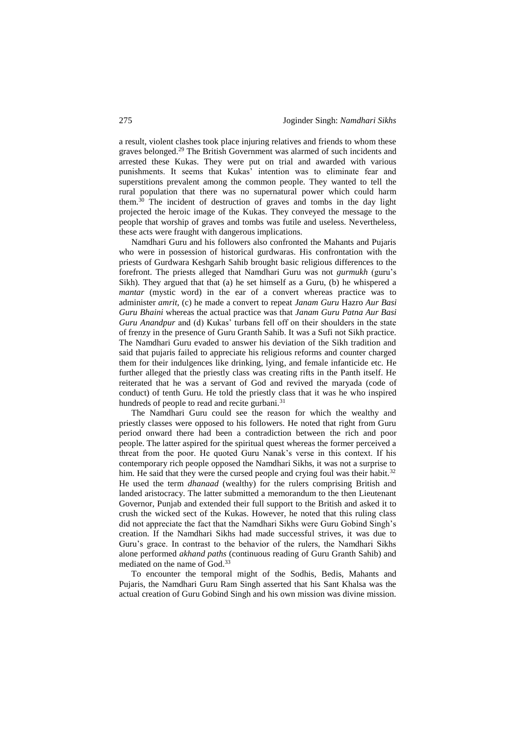a result, violent clashes took place injuring relatives and friends to whom these graves belonged.<sup>29</sup> The British Government was alarmed of such incidents and arrested these Kukas. They were put on trial and awarded with various punishments. It seems that Kukas' intention was to eliminate fear and superstitions prevalent among the common people. They wanted to tell the rural population that there was no supernatural power which could harm them.<sup>30</sup> The incident of destruction of graves and tombs in the day light projected the heroic image of the Kukas. They conveyed the message to the people that worship of graves and tombs was futile and useless. Nevertheless, these acts were fraught with dangerous implications.

Namdhari Guru and his followers also confronted the Mahants and Pujaris who were in possession of historical gurdwaras. His confrontation with the priests of Gurdwara Keshgarh Sahib brought basic religious differences to the forefront. The priests alleged that Namdhari Guru was not *gurmukh* (guru's Sikh). They argued that that (a) he set himself as a Guru, (b) he whispered a *mantar* (mystic word) in the ear of a convert whereas practice was to administer *amrit,* (c) he made a convert to repeat *Janam Guru* Hazro *Aur Basi Guru Bhaini* whereas the actual practice was that *Janam Guru Patna Aur Basi Guru Anandpur* and (d) Kukas' turbans fell off on their shoulders in the state of frenzy in the presence of Guru Granth Sahib. It was a Sufi not Sikh practice. The Namdhari Guru evaded to answer his deviation of the Sikh tradition and said that pujaris failed to appreciate his religious reforms and counter charged them for their indulgences like drinking, lying, and female infanticide etc. He further alleged that the priestly class was creating rifts in the Panth itself. He reiterated that he was a servant of God and revived the maryada (code of conduct) of tenth Guru. He told the priestly class that it was he who inspired hundreds of people to read and recite gurbani.<sup>31</sup>

The Namdhari Guru could see the reason for which the wealthy and priestly classes were opposed to his followers. He noted that right from Guru period onward there had been a contradiction between the rich and poor people. The latter aspired for the spiritual quest whereas the former perceived a threat from the poor. He quoted Guru Nanak's verse in this context. If his contemporary rich people opposed the Namdhari Sikhs, it was not a surprise to him. He said that they were the cursed people and crying foul was their habit.<sup>32</sup> He used the term *dhanaad* (wealthy) for the rulers comprising British and landed aristocracy. The latter submitted a memorandum to the then Lieutenant Governor, Punjab and extended their full support to the British and asked it to crush the wicked sect of the Kukas. However, he noted that this ruling class did not appreciate the fact that the Namdhari Sikhs were Guru Gobind Singh's creation. If the Namdhari Sikhs had made successful strives, it was due to Guru's grace. In contrast to the behavior of the rulers, the Namdhari Sikhs alone performed *akhand paths* (continuous reading of Guru Granth Sahib) and mediated on the name of God.<sup>33</sup>

To encounter the temporal might of the Sodhis, Bedis, Mahants and Pujaris, the Namdhari Guru Ram Singh asserted that his Sant Khalsa was the actual creation of Guru Gobind Singh and his own mission was divine mission.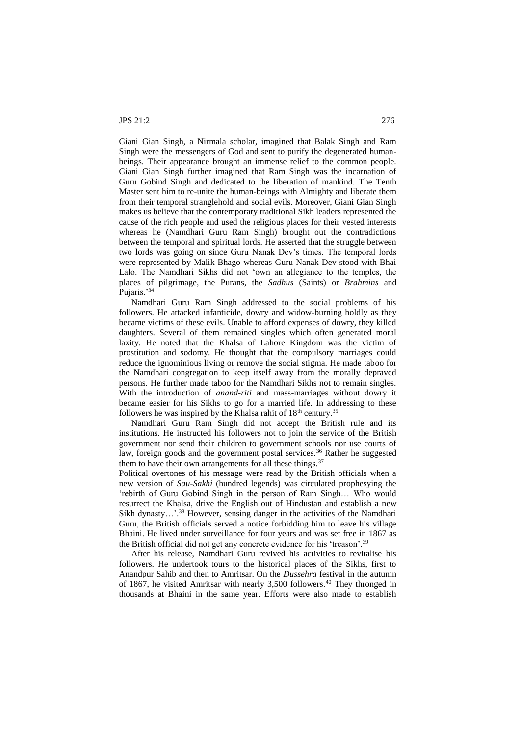Giani Gian Singh, a Nirmala scholar, imagined that Balak Singh and Ram Singh were the messengers of God and sent to purify the degenerated humanbeings. Their appearance brought an immense relief to the common people. Giani Gian Singh further imagined that Ram Singh was the incarnation of Guru Gobind Singh and dedicated to the liberation of mankind. The Tenth Master sent him to re-unite the human-beings with Almighty and liberate them from their temporal stranglehold and social evils. Moreover, Giani Gian Singh makes us believe that the contemporary traditional Sikh leaders represented the cause of the rich people and used the religious places for their vested interests whereas he (Namdhari Guru Ram Singh) brought out the contradictions between the temporal and spiritual lords. He asserted that the struggle between two lords was going on since Guru Nanak Dev's times. The temporal lords were represented by Malik Bhago whereas Guru Nanak Dev stood with Bhai Lalo. The Namdhari Sikhs did not 'own an allegiance to the temples, the places of pilgrimage, the Purans, the *Sadhus* (Saints) or *Brahmins* and Pujaris.'<sup>34</sup>

Namdhari Guru Ram Singh addressed to the social problems of his followers. He attacked infanticide, dowry and widow-burning boldly as they became victims of these evils. Unable to afford expenses of dowry, they killed daughters. Several of them remained singles which often generated moral laxity. He noted that the Khalsa of Lahore Kingdom was the victim of prostitution and sodomy. He thought that the compulsory marriages could reduce the ignominious living or remove the social stigma. He made taboo for the Namdhari congregation to keep itself away from the morally depraved persons. He further made taboo for the Namdhari Sikhs not to remain singles. With the introduction of *anand-riti* and mass-marriages without dowry it became easier for his Sikhs to go for a married life. In addressing to these followers he was inspired by the Khalsa rahit of  $18<sup>th</sup>$  century.<sup>35</sup>

Namdhari Guru Ram Singh did not accept the British rule and its institutions. He instructed his followers not to join the service of the British government nor send their children to government schools nor use courts of law, foreign goods and the government postal services.<sup>36</sup> Rather he suggested them to have their own arrangements for all these things.<sup>37</sup>

Political overtones of his message were read by the British officials when a new version of *Sau-Sakhi* (hundred legends) was circulated prophesying the 'rebirth of Guru Gobind Singh in the person of Ram Singh… Who would resurrect the Khalsa, drive the English out of Hindustan and establish a new Sikh dynasty...'.<sup>38</sup> However, sensing danger in the activities of the Namdhari Guru, the British officials served a notice forbidding him to leave his village Bhaini. He lived under surveillance for four years and was set free in 1867 as the British official did not get any concrete evidence for his 'treason'.<sup>39</sup>

After his release, Namdhari Guru revived his activities to revitalise his followers. He undertook tours to the historical places of the Sikhs, first to Anandpur Sahib and then to Amritsar. On the *Dussehra* festival in the autumn of 1867, he visited Amritsar with nearly 3,500 followers.<sup>40</sup> They thronged in thousands at Bhaini in the same year. Efforts were also made to establish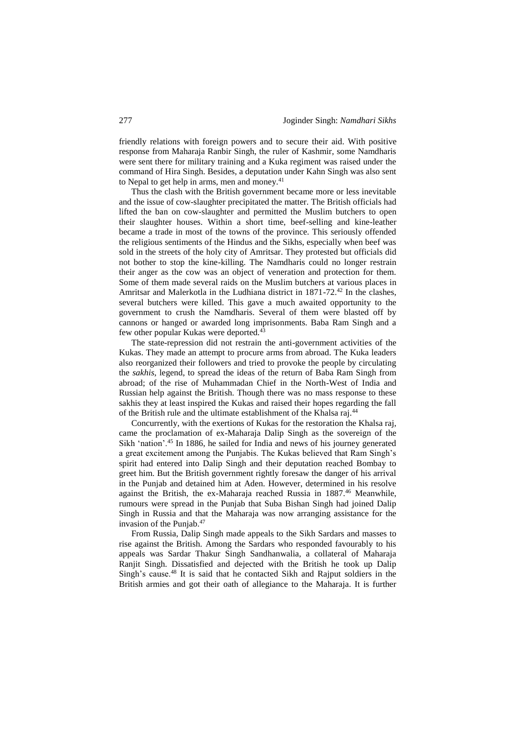friendly relations with foreign powers and to secure their aid. With positive response from Maharaja Ranbir Singh, the ruler of Kashmir, some Namdharis were sent there for military training and a Kuka regiment was raised under the command of Hira Singh. Besides, a deputation under Kahn Singh was also sent to Nepal to get help in arms, men and money.<sup>41</sup>

Thus the clash with the British government became more or less inevitable and the issue of cow-slaughter precipitated the matter. The British officials had lifted the ban on cow-slaughter and permitted the Muslim butchers to open their slaughter houses. Within a short time, beef-selling and kine-leather became a trade in most of the towns of the province. This seriously offended the religious sentiments of the Hindus and the Sikhs, especially when beef was sold in the streets of the holy city of Amritsar. They protested but officials did not bother to stop the kine-killing. The Namdharis could no longer restrain their anger as the cow was an object of veneration and protection for them. Some of them made several raids on the Muslim butchers at various places in Amritsar and Malerkotla in the Ludhiana district in 1871-72.<sup>42</sup> In the clashes, several butchers were killed. This gave a much awaited opportunity to the government to crush the Namdharis. Several of them were blasted off by cannons or hanged or awarded long imprisonments. Baba Ram Singh and a few other popular Kukas were deported.<sup>43</sup>

The state-repression did not restrain the anti-government activities of the Kukas. They made an attempt to procure arms from abroad. The Kuka leaders also reorganized their followers and tried to provoke the people by circulating the *sakhis*, legend, to spread the ideas of the return of Baba Ram Singh from abroad; of the rise of Muhammadan Chief in the North-West of India and Russian help against the British. Though there was no mass response to these sakhis they at least inspired the Kukas and raised their hopes regarding the fall of the British rule and the ultimate establishment of the Khalsa raj.<sup>44</sup>

Concurrently, with the exertions of Kukas for the restoration the Khalsa raj, came the proclamation of ex-Maharaja Dalip Singh as the sovereign of the Sikh 'nation'.<sup>45</sup> In 1886, he sailed for India and news of his journey generated a great excitement among the Punjabis. The Kukas believed that Ram Singh's spirit had entered into Dalip Singh and their deputation reached Bombay to greet him. But the British government rightly foresaw the danger of his arrival in the Punjab and detained him at Aden. However, determined in his resolve against the British, the ex-Maharaja reached Russia in 1887.<sup>46</sup> Meanwhile, rumours were spread in the Punjab that Suba Bishan Singh had joined Dalip Singh in Russia and that the Maharaja was now arranging assistance for the invasion of the Punjab.<sup>47</sup>

From Russia, Dalip Singh made appeals to the Sikh Sardars and masses to rise against the British. Among the Sardars who responded favourably to his appeals was Sardar Thakur Singh Sandhanwalia, a collateral of Maharaja Ranjit Singh. Dissatisfied and dejected with the British he took up Dalip Singh's cause.<sup>48</sup> It is said that he contacted Sikh and Rajput soldiers in the British armies and got their oath of allegiance to the Maharaja. It is further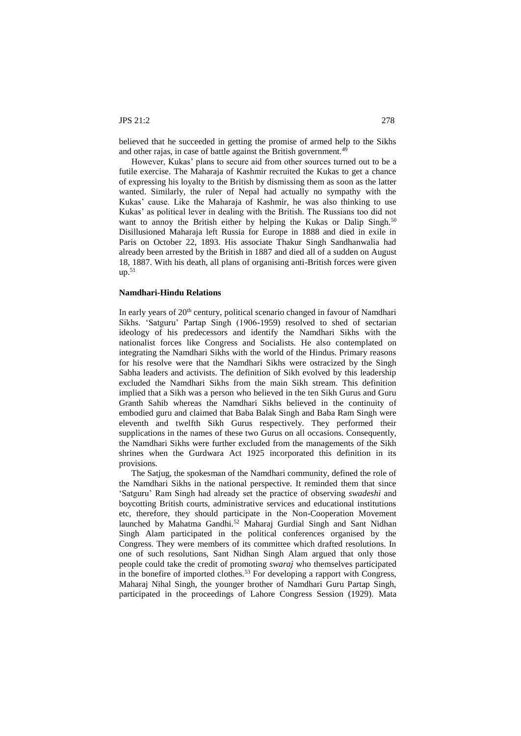believed that he succeeded in getting the promise of armed help to the Sikhs and other rajas, in case of battle against the British government.<sup>49</sup>

However, Kukas' plans to secure aid from other sources turned out to be a futile exercise. The Maharaja of Kashmir recruited the Kukas to get a chance of expressing his loyalty to the British by dismissing them as soon as the latter wanted. Similarly, the ruler of Nepal had actually no sympathy with the Kukas' cause. Like the Maharaja of Kashmir, he was also thinking to use Kukas' as political lever in dealing with the British. The Russians too did not want to annoy the British either by helping the Kukas or Dalip Singh.<sup>50</sup> Disillusioned Maharaja left Russia for Europe in 1888 and died in exile in Paris on October 22, 1893. His associate Thakur Singh Sandhanwalia had already been arrested by the British in 1887 and died all of a sudden on August 18, 1887. With his death, all plans of organising anti-British forces were given  $up.^{51}$ 

# **Namdhari-Hindu Relations**

In early years of 20<sup>th</sup> century, political scenario changed in favour of Namdhari Sikhs. 'Satguru' Partap Singh (1906-1959) resolved to shed of sectarian ideology of his predecessors and identify the Namdhari Sikhs with the nationalist forces like Congress and Socialists. He also contemplated on integrating the Namdhari Sikhs with the world of the Hindus. Primary reasons for his resolve were that the Namdhari Sikhs were ostracized by the Singh Sabha leaders and activists. The definition of Sikh evolved by this leadership excluded the Namdhari Sikhs from the main Sikh stream. This definition implied that a Sikh was a person who believed in the ten Sikh Gurus and Guru Granth Sahib whereas the Namdhari Sikhs believed in the continuity of embodied guru and claimed that Baba Balak Singh and Baba Ram Singh were eleventh and twelfth Sikh Gurus respectively. They performed their supplications in the names of these two Gurus on all occasions. Consequently, the Namdhari Sikhs were further excluded from the managements of the Sikh shrines when the Gurdwara Act 1925 incorporated this definition in its provisions.

The Satjug, the spokesman of the Namdhari community, defined the role of the Namdhari Sikhs in the national perspective. It reminded them that since 'Satguru' Ram Singh had already set the practice of observing *swadeshi* and boycotting British courts, administrative services and educational institutions etc, therefore, they should participate in the Non-Cooperation Movement launched by Mahatma Gandhi.<sup>52</sup> Maharaj Gurdial Singh and Sant Nidhan Singh Alam participated in the political conferences organised by the Congress. They were members of its committee which drafted resolutions. In one of such resolutions, Sant Nidhan Singh Alam argued that only those people could take the credit of promoting *swaraj* who themselves participated in the bonefire of imported clothes.<sup>53</sup> For developing a rapport with Congress, Maharaj Nihal Singh, the younger brother of Namdhari Guru Partap Singh, participated in the proceedings of Lahore Congress Session (1929). Mata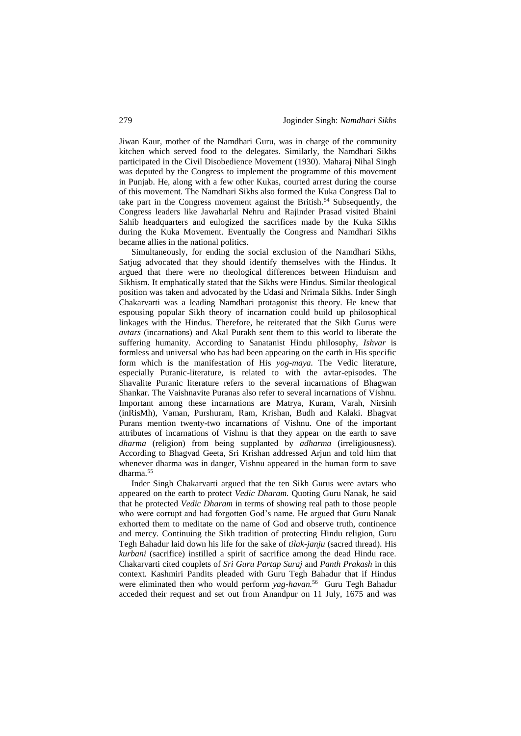Jiwan Kaur, mother of the Namdhari Guru, was in charge of the community kitchen which served food to the delegates. Similarly, the Namdhari Sikhs participated in the Civil Disobedience Movement (1930). Maharaj Nihal Singh was deputed by the Congress to implement the programme of this movement in Punjab. He, along with a few other Kukas, courted arrest during the course of this movement. The Namdhari Sikhs also formed the Kuka Congress Dal to take part in the Congress movement against the British.<sup>54</sup> Subsequently, the Congress leaders like Jawaharlal Nehru and Rajinder Prasad visited Bhaini Sahib headquarters and eulogized the sacrifices made by the Kuka Sikhs during the Kuka Movement. Eventually the Congress and Namdhari Sikhs became allies in the national politics.

Simultaneously, for ending the social exclusion of the Namdhari Sikhs, Satjug advocated that they should identify themselves with the Hindus. It argued that there were no theological differences between Hinduism and Sikhism. It emphatically stated that the Sikhs were Hindus. Similar theological position was taken and advocated by the Udasi and Nrimala Sikhs. Inder Singh Chakarvarti was a leading Namdhari protagonist this theory. He knew that espousing popular Sikh theory of incarnation could build up philosophical linkages with the Hindus. Therefore, he reiterated that the Sikh Gurus were *avtars* (incarnations) and Akal Purakh sent them to this world to liberate the suffering humanity. According to Sanatanist Hindu philosophy, *Ishvar* is formless and universal who has had been appearing on the earth in His specific form which is the manifestation of His *yog-maya.* The Vedic literature, especially Puranic-literature, is related to with the avtar-episodes. The Shavalite Puranic literature refers to the several incarnations of Bhagwan Shankar. The Vaishnavite Puranas also refer to several incarnations of Vishnu. Important among these incarnations are Matrya, Kuram, Varah, Nirsinh (inRisMh), Vaman, Purshuram, Ram, Krishan, Budh and Kalaki. Bhagvat Purans mention twenty-two incarnations of Vishnu. One of the important attributes of incarnations of Vishnu is that they appear on the earth to save *dharma* (religion) from being supplanted by *adharma* (irreligiousness)*.*  According to Bhagvad Geeta, Sri Krishan addressed Arjun and told him that whenever dharma was in danger, Vishnu appeared in the human form to save dharma.<sup>55</sup>

Inder Singh Chakarvarti argued that the ten Sikh Gurus were avtars who appeared on the earth to protect *Vedic Dharam*. Quoting Guru Nanak, he said that he protected *Vedic Dharam* in terms of showing real path to those people who were corrupt and had forgotten God's name. He argued that Guru Nanak exhorted them to meditate on the name of God and observe truth, continence and mercy*.* Continuing the Sikh tradition of protecting Hindu religion, Guru Tegh Bahadur laid down his life for the sake of *tilak-janju* (sacred thread)*.* His *kurbani* (sacrifice) instilled a spirit of sacrifice among the dead Hindu race. Chakarvarti cited couplets of *Sri Guru Partap Suraj* and *Panth Prakash* in this context. Kashmiri Pandits pleaded with Guru Tegh Bahadur that if Hindus were eliminated then who would perform *yag-havan.*<sup>56</sup> Guru Tegh Bahadur acceded their request and set out from Anandpur on 11 July, 1675 and was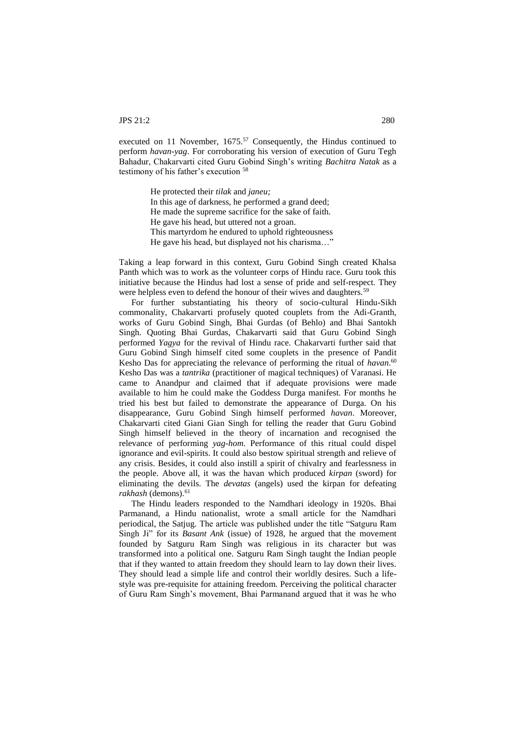executed on 11 November,  $1675$ <sup>57</sup> Consequently, the Hindus continued to perform *havan-yag*. For corroborating his version of execution of Guru Tegh Bahadur, Chakarvarti cited Guru Gobind Singh's writing *Bachitra Natak* as a testimony of his father's execution <sup>58</sup>

> He protected their *tilak* and *janeu;* In this age of darkness, he performed a grand deed; He made the supreme sacrifice for the sake of faith. He gave his head, but uttered not a groan. This martyrdom he endured to uphold righteousness He gave his head, but displayed not his charisma…"

Taking a leap forward in this context, Guru Gobind Singh created Khalsa Panth which was to work as the volunteer corps of Hindu race. Guru took this initiative because the Hindus had lost a sense of pride and self-respect. They were helpless even to defend the honour of their wives and daughters.<sup>59</sup>

For further substantiating his theory of socio-cultural Hindu-Sikh commonality, Chakarvarti profusely quoted couplets from the Adi-Granth, works of Guru Gobind Singh, Bhai Gurdas (of Behlo) and Bhai Santokh Singh. Quoting Bhai Gurdas, Chakarvarti said that Guru Gobind Singh performed *Yagya* for the revival of Hindu race. Chakarvarti further said that Guru Gobind Singh himself cited some couplets in the presence of Pandit Kesho Das for appreciating the relevance of performing the ritual of *havan*. 60 Kesho Das was a *tantrika* (practitioner of magical techniques) of Varanasi. He came to Anandpur and claimed that if adequate provisions were made available to him he could make the Goddess Durga manifest. For months he tried his best but failed to demonstrate the appearance of Durga. On his disappearance, Guru Gobind Singh himself performed *havan*. Moreover, Chakarvarti cited Giani Gian Singh for telling the reader that Guru Gobind Singh himself believed in the theory of incarnation and recognised the relevance of performing *yag-hom.* Performance of this ritual could dispel ignorance and evil-spirits. It could also bestow spiritual strength and relieve of any crisis. Besides, it could also instill a spirit of chivalry and fearlessness in the people. Above all, it was the havan which produced *kirpan* (sword) for eliminating the devils. The *devatas* (angels) used the kirpan for defeating rakhash (demons).<sup>61</sup>

The Hindu leaders responded to the Namdhari ideology in 1920s. Bhai Parmanand, a Hindu nationalist, wrote a small article for the Namdhari periodical, the Satjug*.* The article was published under the title "Satguru Ram Singh Ji" for its *Basant Ank* (issue) of 1928, he argued that the movement founded by Satguru Ram Singh was religious in its character but was transformed into a political one. Satguru Ram Singh taught the Indian people that if they wanted to attain freedom they should learn to lay down their lives. They should lead a simple life and control their worldly desires. Such a lifestyle was pre-requisite for attaining freedom. Perceiving the political character of Guru Ram Singh's movement, Bhai Parmanand argued that it was he who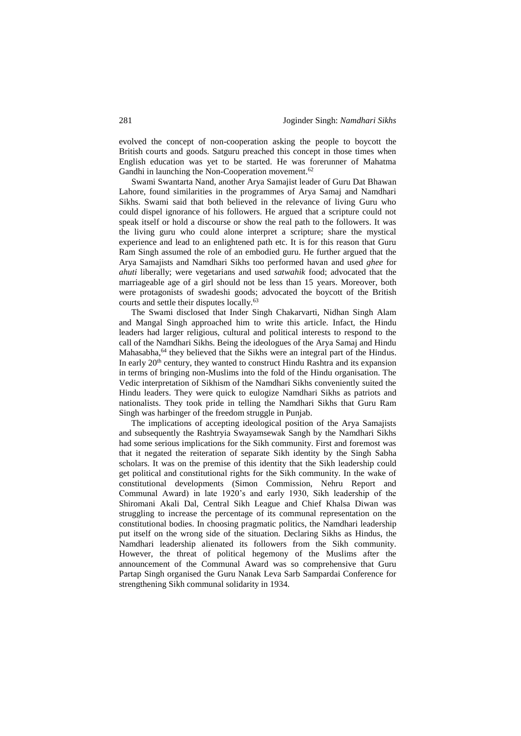evolved the concept of non-cooperation asking the people to boycott the British courts and goods. Satguru preached this concept in those times when English education was yet to be started. He was forerunner of Mahatma Gandhi in launching the Non-Cooperation movement.<sup>62</sup>

Swami Swantarta Nand, another Arya Samajist leader of Guru Dat Bhawan Lahore, found similarities in the programmes of Arya Samaj and Namdhari Sikhs. Swami said that both believed in the relevance of living Guru who could dispel ignorance of his followers. He argued that a scripture could not speak itself or hold a discourse or show the real path to the followers. It was the living guru who could alone interpret a scripture; share the mystical experience and lead to an enlightened path etc. It is for this reason that Guru Ram Singh assumed the role of an embodied guru. He further argued that the Arya Samajists and Namdhari Sikhs too performed havan and used *ghee* for *ahuti* liberally; were vegetarians and used *satwahik* food; advocated that the marriageable age of a girl should not be less than 15 years. Moreover, both were protagonists of swadeshi goods; advocated the boycott of the British courts and settle their disputes locally.<sup>63</sup>

The Swami disclosed that Inder Singh Chakarvarti, Nidhan Singh Alam and Mangal Singh approached him to write this article. Infact, the Hindu leaders had larger religious, cultural and political interests to respond to the call of the Namdhari Sikhs. Being the ideologues of the Arya Samaj and Hindu Mahasabha,<sup>64</sup> they believed that the Sikhs were an integral part of the Hindus. In early  $20<sup>th</sup>$  century, they wanted to construct Hindu Rashtra and its expansion in terms of bringing non-Muslims into the fold of the Hindu organisation. The Vedic interpretation of Sikhism of the Namdhari Sikhs conveniently suited the Hindu leaders. They were quick to eulogize Namdhari Sikhs as patriots and nationalists. They took pride in telling the Namdhari Sikhs that Guru Ram Singh was harbinger of the freedom struggle in Punjab.

The implications of accepting ideological position of the Arya Samajists and subsequently the Rashtryia Swayamsewak Sangh by the Namdhari Sikhs had some serious implications for the Sikh community. First and foremost was that it negated the reiteration of separate Sikh identity by the Singh Sabha scholars. It was on the premise of this identity that the Sikh leadership could get political and constitutional rights for the Sikh community. In the wake of constitutional developments (Simon Commission, Nehru Report and Communal Award) in late 1920's and early 1930, Sikh leadership of the Shiromani Akali Dal, Central Sikh League and Chief Khalsa Diwan was struggling to increase the percentage of its communal representation on the constitutional bodies. In choosing pragmatic politics, the Namdhari leadership put itself on the wrong side of the situation. Declaring Sikhs as Hindus, the Namdhari leadership alienated its followers from the Sikh community. However, the threat of political hegemony of the Muslims after the announcement of the Communal Award was so comprehensive that Guru Partap Singh organised the Guru Nanak Leva Sarb Sampardai Conference for strengthening Sikh communal solidarity in 1934.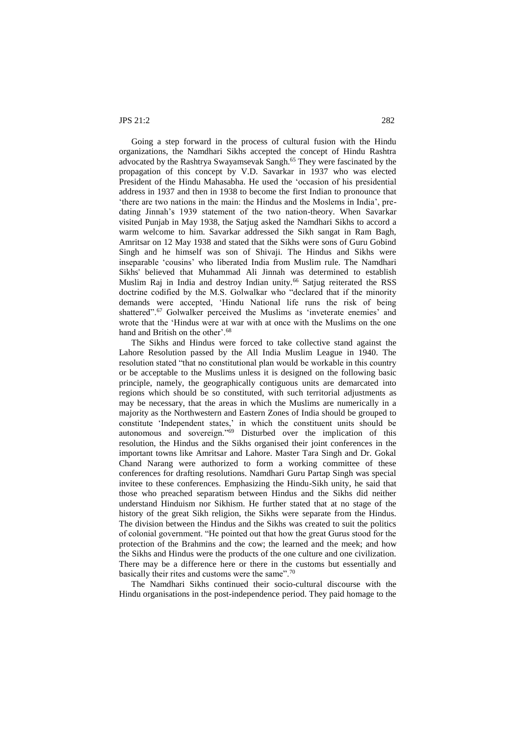Going a step forward in the process of cultural fusion with the Hindu organizations, the Namdhari Sikhs accepted the concept of Hindu Rashtra advocated by the Rashtrya Swayamsevak Sangh.<sup>65</sup> They were fascinated by the propagation of this concept by V.D. Savarkar in 1937 who was elected President of the Hindu Mahasabha. He used the 'occasion of his presidential address in 1937 and then in 1938 to become the first Indian to pronounce that 'there are two nations in the main: the Hindus and the Moslems in India', predating Jinnah's 1939 statement of the two nation-theory. When Savarkar visited Punjab in May 1938, the Satjug asked the Namdhari Sikhs to accord a warm welcome to him. Savarkar addressed the Sikh sangat in Ram Bagh, Amritsar on 12 May 1938 and stated that the Sikhs were sons of Guru Gobind Singh and he himself was son of Shivaji. The Hindus and Sikhs were inseparable 'cousins' who liberated India from Muslim rule. The Namdhari Sikhs' believed that Muhammad Ali Jinnah was determined to establish Muslim Raj in India and destroy Indian unity.<sup>66</sup> Satjug reiterated the RSS doctrine codified by the M.S. Golwalkar who "declared that if the minority demands were accepted, 'Hindu National life runs the risk of being shattered".<sup>67</sup> Golwalker perceived the Muslims as 'inveterate enemies' and wrote that the 'Hindus were at war with at once with the Muslims on the one hand and British on the other'.<sup>68</sup>

The Sikhs and Hindus were forced to take collective stand against the Lahore Resolution passed by the All India Muslim League in 1940. The resolution stated "that no constitutional plan would be workable in this country or be acceptable to the Muslims unless it is designed on the following basic principle, namely, the geographically contiguous units are demarcated into regions which should be so constituted, with such territorial adjustments as may be necessary, that the areas in which the Muslims are numerically in a majority as the Northwestern and Eastern Zones of India should be grouped to constitute 'Independent states,' in which the constituent units should be autonomous and sovereign."<sup>69</sup> Disturbed over the implication of this resolution, the Hindus and the Sikhs organised their joint conferences in the important towns like Amritsar and Lahore. Master Tara Singh and Dr. Gokal Chand Narang were authorized to form a working committee of these conferences for drafting resolutions. Namdhari Guru Partap Singh was special invitee to these conferences. Emphasizing the Hindu-Sikh unity, he said that those who preached separatism between Hindus and the Sikhs did neither understand Hinduism nor Sikhism. He further stated that at no stage of the history of the great Sikh religion, the Sikhs were separate from the Hindus. The division between the Hindus and the Sikhs was created to suit the politics of colonial government. "He pointed out that how the great Gurus stood for the protection of the Brahmins and the cow; the learned and the meek; and how the Sikhs and Hindus were the products of the one culture and one civilization. There may be a difference here or there in the customs but essentially and basically their rites and customs were the same".<sup>70</sup>

The Namdhari Sikhs continued their socio-cultural discourse with the Hindu organisations in the post-independence period. They paid homage to the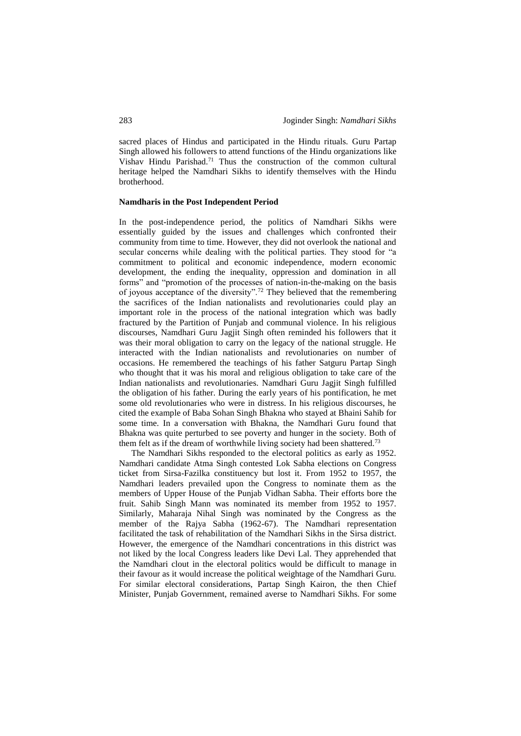sacred places of Hindus and participated in the Hindu rituals. Guru Partap Singh allowed his followers to attend functions of the Hindu organizations like Vishav Hindu Parishad.<sup>71</sup> Thus the construction of the common cultural heritage helped the Namdhari Sikhs to identify themselves with the Hindu brotherhood.

#### **Namdharis in the Post Independent Period**

In the post-independence period, the politics of Namdhari Sikhs were essentially guided by the issues and challenges which confronted their community from time to time. However, they did not overlook the national and secular concerns while dealing with the political parties. They stood for "a commitment to political and economic independence, modern economic development, the ending the inequality, oppression and domination in all forms" and "promotion of the processes of nation-in-the-making on the basis of joyous acceptance of the diversity".<sup>72</sup> They believed that the remembering the sacrifices of the Indian nationalists and revolutionaries could play an important role in the process of the national integration which was badly fractured by the Partition of Punjab and communal violence. In his religious discourses, Namdhari Guru Jagjit Singh often reminded his followers that it was their moral obligation to carry on the legacy of the national struggle. He interacted with the Indian nationalists and revolutionaries on number of occasions. He remembered the teachings of his father Satguru Partap Singh who thought that it was his moral and religious obligation to take care of the Indian nationalists and revolutionaries. Namdhari Guru Jagjit Singh fulfilled the obligation of his father. During the early years of his pontification, he met some old revolutionaries who were in distress. In his religious discourses, he cited the example of Baba Sohan Singh Bhakna who stayed at Bhaini Sahib for some time. In a conversation with Bhakna, the Namdhari Guru found that Bhakna was quite perturbed to see poverty and hunger in the society. Both of them felt as if the dream of worthwhile living society had been shattered.<sup>73</sup>

The Namdhari Sikhs responded to the electoral politics as early as 1952. Namdhari candidate Atma Singh contested Lok Sabha elections on Congress ticket from Sirsa-Fazilka constituency but lost it. From 1952 to 1957, the Namdhari leaders prevailed upon the Congress to nominate them as the members of Upper House of the Punjab Vidhan Sabha. Their efforts bore the fruit. Sahib Singh Mann was nominated its member from 1952 to 1957. Similarly, Maharaja Nihal Singh was nominated by the Congress as the member of the Rajya Sabha (1962-67). The Namdhari representation facilitated the task of rehabilitation of the Namdhari Sikhs in the Sirsa district. However, the emergence of the Namdhari concentrations in this district was not liked by the local Congress leaders like Devi Lal. They apprehended that the Namdhari clout in the electoral politics would be difficult to manage in their favour as it would increase the political weightage of the Namdhari Guru. For similar electoral considerations, Partap Singh Kairon, the then Chief Minister, Punjab Government, remained averse to Namdhari Sikhs. For some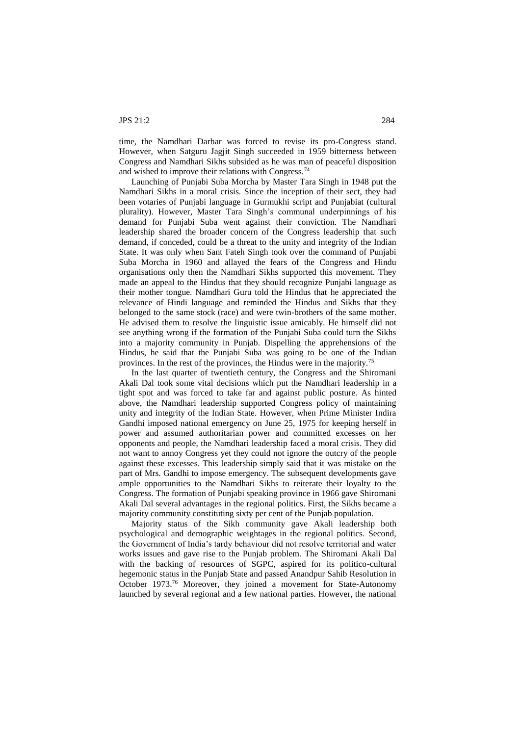time, the Namdhari Darbar was forced to revise its pro-Congress stand. However, when Satguru Jagjit Singh succeeded in 1959 bitterness between Congress and Namdhari Sikhs subsided as he was man of peaceful disposition and wished to improve their relations with Congress.<sup>74</sup>

Launching of Punjabi Suba Morcha by Master Tara Singh in 1948 put the Namdhari Sikhs in a moral crisis. Since the inception of their sect, they had been votaries of Punjabi language in Gurmukhi script and Punjabiat (cultural plurality). However, Master Tara Singh's communal underpinnings of his demand for Punjabi Suba went against their conviction. The Namdhari leadership shared the broader concern of the Congress leadership that such demand, if conceded, could be a threat to the unity and integrity of the Indian State. It was only when Sant Fateh Singh took over the command of Punjabi Suba Morcha in 1960 and allayed the fears of the Congress and Hindu organisations only then the Namdhari Sikhs supported this movement. They made an appeal to the Hindus that they should recognize Punjabi language as their mother tongue. Namdhari Guru told the Hindus that he appreciated the relevance of Hindi language and reminded the Hindus and Sikhs that they belonged to the same stock (race) and were twin-brothers of the same mother. He advised them to resolve the linguistic issue amicably. He himself did not see anything wrong if the formation of the Punjabi Suba could turn the Sikhs into a majority community in Punjab. Dispelling the apprehensions of the Hindus, he said that the Punjabi Suba was going to be one of the Indian provinces. In the rest of the provinces, the Hindus were in the majority.<sup>75</sup>

In the last quarter of twentieth century, the Congress and the Shiromani Akali Dal took some vital decisions which put the Namdhari leadership in a tight spot and was forced to take far and against public posture. As hinted above, the Namdhari leadership supported Congress policy of maintaining unity and integrity of the Indian State. However, when Prime Minister Indira Gandhi imposed national emergency on June 25, 1975 for keeping herself in power and assumed authoritarian power and committed excesses on her opponents and people, the Namdhari leadership faced a moral crisis. They did not want to annoy Congress yet they could not ignore the outcry of the people against these excesses. This leadership simply said that it was mistake on the part of Mrs. Gandhi to impose emergency. The subsequent developments gave ample opportunities to the Namdhari Sikhs to reiterate their loyalty to the Congress. The formation of Punjabi speaking province in 1966 gave Shiromani Akali Dal several advantages in the regional politics. First, the Sikhs became a majority community constituting sixty per cent of the Punjab population.

Majority status of the Sikh community gave Akali leadership both psychological and demographic weightages in the regional politics. Second, the Government of India's tardy behaviour did not resolve territorial and water works issues and gave rise to the Punjab problem. The Shiromani Akali Dal with the backing of resources of SGPC, aspired for its politico-cultural hegemonic status in the Punjab State and passed Anandpur Sahib Resolution in October 1973.<sup>76</sup> Moreover, they joined a movement for State-Autonomy launched by several regional and a few national parties. However, the national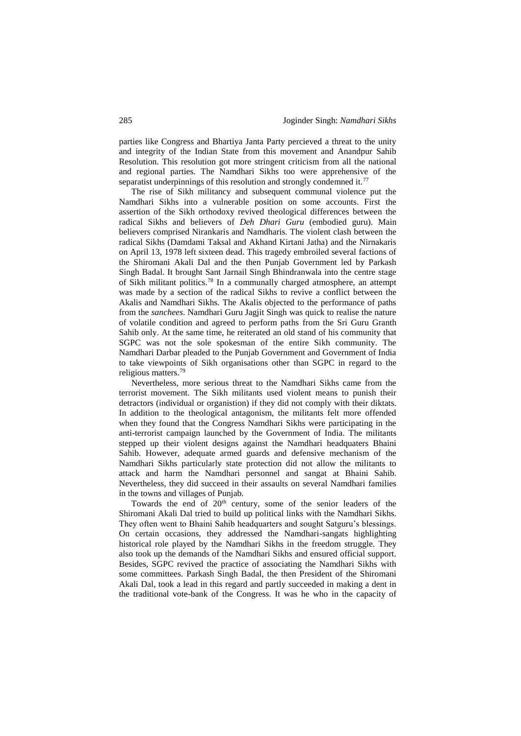parties like Congress and Bhartiya Janta Party percieved a threat to the unity and integrity of the Indian State from this movement and Anandpur Sahib Resolution. This resolution got more stringent criticism from all the national and regional parties. The Namdhari Sikhs too were apprehensive of the separatist underpinnings of this resolution and strongly condemned it.<sup>77</sup>

The rise of Sikh militancy and subsequent communal violence put the Namdhari Sikhs into a vulnerable position on some accounts. First the assertion of the Sikh orthodoxy revived theological differences between the radical Sikhs and believers of *Deh Dhari Guru* (embodied guru). Main believers comprised Nirankaris and Namdharis. The violent clash between the radical Sikhs (Damdami Taksal and Akhand Kirtani Jatha) and the Nirnakaris on April 13, 1978 left sixteen dead. This tragedy embroiled several factions of the Shiromani Akali Dal and the then Punjab Government led by Parkash Singh Badal. It brought Sant Jarnail Singh Bhindranwala into the centre stage of Sikh militant politics.<sup>78</sup> In a communally charged atmosphere, an attempt was made by a section of the radical Sikhs to revive a conflict between the Akalis and Namdhari Sikhs. The Akalis objected to the performance of paths from the *sanchees*. Namdhari Guru Jagjit Singh was quick to realise the nature of volatile condition and agreed to perform paths from the Sri Guru Granth Sahib only. At the same time, he reiterated an old stand of his community that SGPC was not the sole spokesman of the entire Sikh community. The Namdhari Darbar pleaded to the Punjab Government and Government of India to take viewpoints of Sikh organisations other than SGPC in regard to the religious matters.<sup>79</sup>

Nevertheless, more serious threat to the Namdhari Sikhs came from the terrorist movement. The Sikh militants used violent means to punish their detractors (individual or organistion) if they did not comply with their diktats. In addition to the theological antagonism, the militants felt more offended when they found that the Congress Namdhari Sikhs were participating in the anti-terrorist campaign launched by the Government of India. The militants stepped up their violent designs against the Namdhari headquaters Bhaini Sahib. However, adequate armed guards and defensive mechanism of the Namdhari Sikhs particularly state protection did not allow the militants to attack and harm the Namdhari personnel and sangat at Bhaini Sahib. Nevertheless, they did succeed in their assaults on several Namdhari families in the towns and villages of Punjab.

Towards the end of  $20<sup>th</sup>$  century, some of the senior leaders of the Shiromani Akali Dal tried to build up political links with the Namdhari Sikhs. They often went to Bhaini Sahib headquarters and sought Satguru's blessings. On certain occasions, they addressed the Namdhari-sangats highlighting historical role played by the Namdhari Sikhs in the freedom struggle. They also took up the demands of the Namdhari Sikhs and ensured official support. Besides, SGPC revived the practice of associating the Namdhari Sikhs with some committees. Parkash Singh Badal, the then President of the Shiromani Akali Dal, took a lead in this regard and partly succeeded in making a dent in the traditional vote-bank of the Congress. It was he who in the capacity of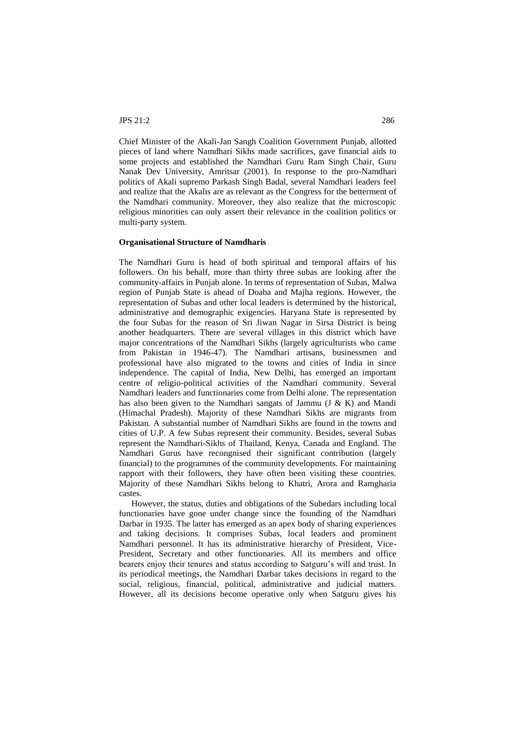Chief Minister of the Akali-Jan Sangh Coalition Government Punjab, allotted pieces of land where Namdhari Sikhs made sacrifices, gave financial aids to some projects and established the Namdhari Guru Ram Singh Chair, Guru Nanak Dev University, Amritsar (2001). In response to the pro-Namdhari politics of Akali supremo Parkash Singh Badal, several Namdhari leaders feel and realize that the Akalis are as relevant as the Congress for the betterment of the Namdhari community. Moreover, they also realize that the microscopic religious minorities can only assert their relevance in the coalition politics or multi-party system.

#### **Organisational Structure of Namdharis**

The Namdhari Guru is head of both spiritual and temporal affairs of his followers. On his behalf, more than thirty three subas are looking after the community-affairs in Punjab alone. In terms of representation of Subas, Malwa region of Punjab State is ahead of Doaba and Majha regions. However, the representation of Subas and other local leaders is determined by the historical, administrative and demographic exigencies. Haryana State is represented by the four Subas for the reason of Sri Jiwan Nagar in Sirsa District is being another headquarters. There are several villages in this district which have major concentrations of the Namdhari Sikhs (largely agriculturists who came from Pakistan in 1946-47). The Namdhari artisans, businessmen and professional have also migrated to the towns and cities of India in since independence. The capital of India, New Delhi, has emerged an important centre of religio-political activities of the Namdhari community. Several Namdhari leaders and functionaries come from Delhi alone. The representation has also been given to the Namdhari sangats of Jammu (J & K) and Mandi (Himachal Pradesh). Majority of these Namdhari Sikhs are migrants from Pakistan. A substantial number of Namdhari Sikhs are found in the towns and cities of U.P. A few Subas represent their community. Besides, several Subas represent the Namdhari-Sikhs of Thailand, Kenya, Canada and England. The Namdhari Gurus have recongnised their significant contribution (largely financial) to the programmes of the community developments. For maintaining rapport with their followers, they have often been visiting these countries. Majority of these Namdhari Sikhs belong to Khatri, Arora and Ramgharia castes.

However, the status, duties and obligations of the Subedars including local functionaries have gone under change since the founding of the Namdhari Darbar in 1935. The latter has emerged as an apex body of sharing experiences and taking decisions. It comprises Subas, local leaders and prominent Namdhari personnel. It has its administrative hierarchy of President, Vice-President, Secretary and other functionaries. All its members and office bearers enjoy their tenures and status according to Satguru's will and trust. In its periodical meetings, the Namdhari Darbar takes decisions in regard to the social, religious, financial, political, administrative and judicial matters. However, all its decisions become operative only when Satguru gives his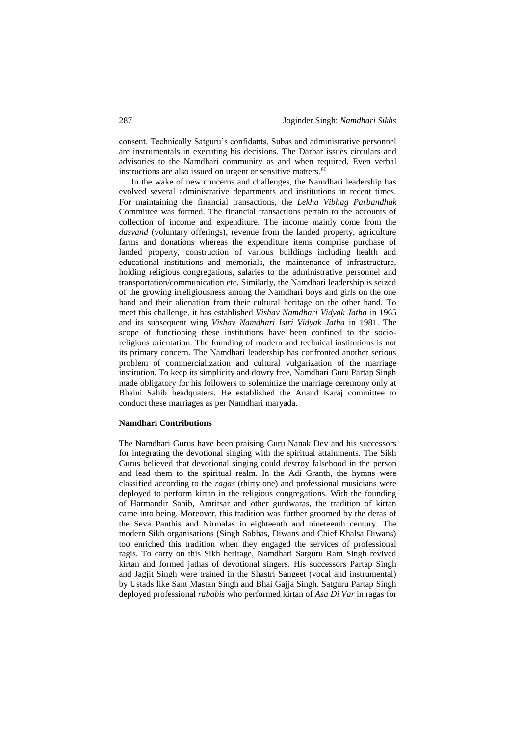consent. Technically Satguru's confidants, Subas and administrative personnel are instrumentals in executing his decisions. The Darbar issues circulars and advisories to the Namdhari community as and when required. Even verbal instructions are also issued on urgent or sensitive matters.<sup>80</sup>

In the wake of new concerns and challenges, the Namdhari leadership has evolved several administrative departments and institutions in recent times. For maintaining the financial transactions, the *Lekha Vibhag Parbandhak* Committee was formed. The financial transactions pertain to the accounts of collection of income and expenditure. The income mainly come from the *dasvand* (voluntary offerings), revenue from the landed property, agriculture farms and donations whereas the expenditure items comprise purchase of landed property, construction of various buildings including health and educational institutions and memorials, the maintenance of infrastructure, holding religious congregations, salaries to the administrative personnel and transportation/communication etc. Similarly, the Namdhari leadership is seized of the growing irreligiousness among the Namdhari boys and girls on the one hand and their alienation from their cultural heritage on the other hand. To meet this challenge, it has established *Vishav Namdhari Vidyak Jatha* in 1965 and its subsequent wing *Vishav Namdhari Istri Vidyak Jatha* in 1981. The scope of functioning these institutions have been confined to the socioreligious orientation. The founding of modern and technical institutions is not its primary concern. The Namdhari leadership has confronted another serious problem of commercialization and cultural vulgarization of the marriage institution. To keep its simplicity and dowry free, Namdhari Guru Partap Singh made obligatory for his followers to soleminize the marriage ceremony only at Bhaini Sahib headquaters. He established the Anand Karaj committee to conduct these marriages as per Namdhari maryada.

#### **Namdhari Contributions**

The Namdhari Gurus have been praising Guru Nanak Dev and his successors for integrating the devotional singing with the spiritual attainments. The Sikh Gurus believed that devotional singing could destroy falsehood in the person and lead them to the spiritual realm. In the Adi Granth, the hymns were classified according to the *ragas* (thirty one) and professional musicians were deployed to perform kirtan in the religious congregations. With the founding of Harmandir Sahib, Amritsar and other gurdwaras, the tradition of kirtan came into being. Moreover, this tradition was further groomed by the deras of the Seva Panthis and Nirmalas in eighteenth and nineteenth century. The modern Sikh organisations (Singh Sabhas, Diwans and Chief Khalsa Diwans) too enriched this tradition when they engaged the services of professional ragis. To carry on this Sikh heritage, Namdhari Satguru Ram Singh revived kirtan and formed jathas of devotional singers. His successors Partap Singh and Jagjit Singh were trained in the Shastri Sangeet (vocal and instrumental) by Ustads like Sant Mastan Singh and Bhai Gajja Singh. Satguru Partap Singh deployed professional *rababis* who performed kirtan of *Asa Di Var* in ragas for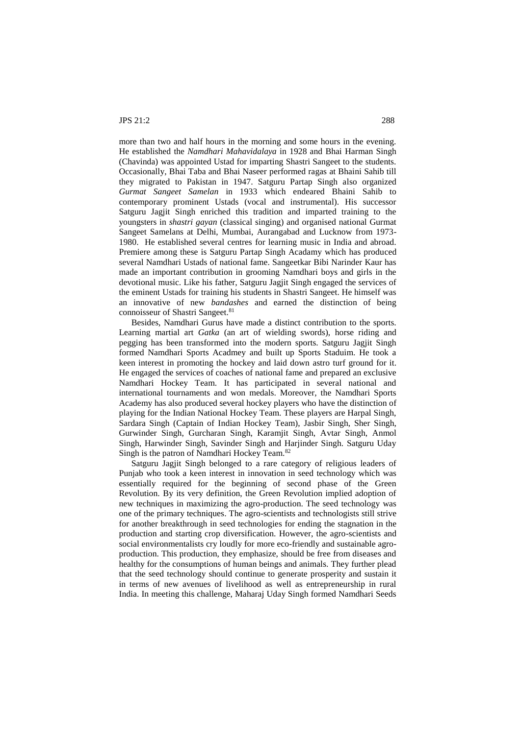more than two and half hours in the morning and some hours in the evening. He established the *Namdhari Mahavidalaya* in 1928 and Bhai Harman Singh (Chavinda) was appointed Ustad for imparting Shastri Sangeet to the students. Occasionally, Bhai Taba and Bhai Naseer performed ragas at Bhaini Sahib till they migrated to Pakistan in 1947. Satguru Partap Singh also organized *Gurmat Sangeet Samelan* in 1933 which endeared Bhaini Sahib to contemporary prominent Ustads (vocal and instrumental). His successor Satguru Jagjit Singh enriched this tradition and imparted training to the youngsters in *shastri gayan* (classical singing) and organised national Gurmat Sangeet Samelans at Delhi, Mumbai, Aurangabad and Lucknow from 1973- 1980. He established several centres for learning music in India and abroad. Premiere among these is Satguru Partap Singh Acadamy which has produced several Namdhari Ustads of national fame. Sangeetkar Bibi Narinder Kaur has made an important contribution in grooming Namdhari boys and girls in the devotional music. Like his father, Satguru Jagjit Singh engaged the services of the eminent Ustads for training his students in Shastri Sangeet. He himself was an innovative of new *bandashes* and earned the distinction of being connoisseur of Shastri Sangeet.<sup>81</sup>

Besides, Namdhari Gurus have made a distinct contribution to the sports. Learning martial art *Gatka* (an art of wielding swords), horse riding and pegging has been transformed into the modern sports. Satguru Jagjit Singh formed Namdhari Sports Acadmey and built up Sports Staduim. He took a keen interest in promoting the hockey and laid down astro turf ground for it. He engaged the services of coaches of national fame and prepared an exclusive Namdhari Hockey Team. It has participated in several national and international tournaments and won medals. Moreover, the Namdhari Sports Academy has also produced several hockey players who have the distinction of playing for the Indian National Hockey Team. These players are Harpal Singh, Sardara Singh (Captain of Indian Hockey Team), Jasbir Singh, Sher Singh, Gurwinder Singh, Gurcharan Singh, Karamjit Singh, Avtar Singh, Anmol Singh, Harwinder Singh, Savinder Singh and Harjinder Singh. Satguru Uday Singh is the patron of Namdhari Hockey Team.<sup>82</sup>

Satguru Jagjit Singh belonged to a rare category of religious leaders of Punjab who took a keen interest in innovation in seed technology which was essentially required for the beginning of second phase of the Green Revolution. By its very definition, the Green Revolution implied adoption of new techniques in maximizing the agro-production. The seed technology was one of the primary techniques. The agro-scientists and technologists still strive for another breakthrough in seed technologies for ending the stagnation in the production and starting crop diversification. However, the agro-scientists and social environmentalists cry loudly for more eco-friendly and sustainable agroproduction. This production, they emphasize, should be free from diseases and healthy for the consumptions of human beings and animals. They further plead that the seed technology should continue to generate prosperity and sustain it in terms of new avenues of livelihood as well as entrepreneurship in rural India. In meeting this challenge, Maharaj Uday Singh formed Namdhari Seeds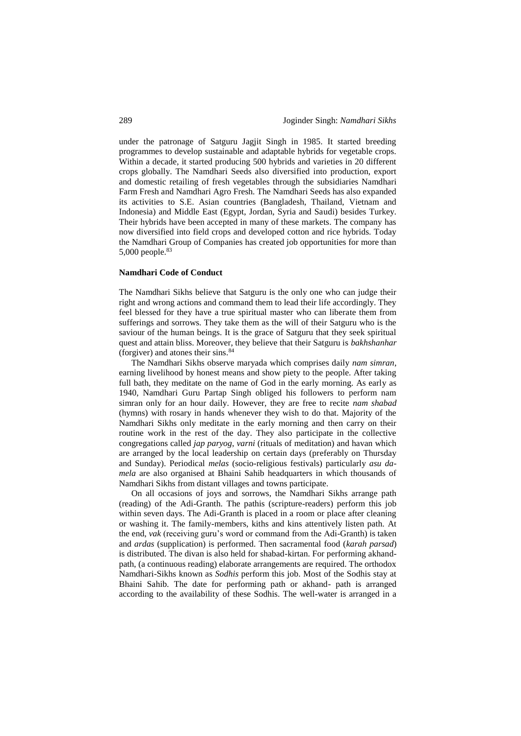under the patronage of Satguru Jagjit Singh in 1985. It started breeding programmes to develop sustainable and adaptable hybrids for vegetable crops. Within a decade, it started producing 500 hybrids and varieties in 20 different crops globally. The Namdhari Seeds also diversified into production, export and domestic retailing of fresh vegetables through the subsidiaries Namdhari Farm Fresh and Namdhari Agro Fresh. The Namdhari Seeds has also expanded its activities to S.E. Asian countries (Bangladesh, Thailand, Vietnam and Indonesia) and Middle East (Egypt, Jordan, Syria and Saudi) besides Turkey. Their hybrids have been accepted in many of these markets. The company has now diversified into field crops and developed cotton and rice hybrids. Today the Namdhari Group of Companies has created job opportunities for more than 5,000 people.<sup>83</sup>

## **Namdhari Code of Conduct**

The Namdhari Sikhs believe that Satguru is the only one who can judge their right and wrong actions and command them to lead their life accordingly. They feel blessed for they have a true spiritual master who can liberate them from sufferings and sorrows. They take them as the will of their Satguru who is the saviour of the human beings. It is the grace of Satguru that they seek spiritual quest and attain bliss. Moreover, they believe that their Satguru is *bakhshanhar* (forgiver) and atones their sins.<sup>84</sup>

The Namdhari Sikhs observe maryada which comprises daily *nam simran*, earning livelihood by honest means and show piety to the people. After taking full bath, they meditate on the name of God in the early morning. As early as 1940, Namdhari Guru Partap Singh obliged his followers to perform nam simran only for an hour daily. However, they are free to recite *nam shabad* (hymns) with rosary in hands whenever they wish to do that. Majority of the Namdhari Sikhs only meditate in the early morning and then carry on their routine work in the rest of the day. They also participate in the collective congregations called *jap paryog*, *varni* (rituals of meditation) and havan which are arranged by the local leadership on certain days (preferably on Thursday and Sunday). Periodical *melas* (socio-religious festivals) particularly *asu damela* are also organised at Bhaini Sahib headquarters in which thousands of Namdhari Sikhs from distant villages and towns participate.

On all occasions of joys and sorrows, the Namdhari Sikhs arrange path (reading) of the Adi-Granth. The pathis (scripture-readers) perform this job within seven days. The Adi-Granth is placed in a room or place after cleaning or washing it. The family-members, kiths and kins attentively listen path. At the end, *vak* (receiving guru's word or command from the Adi-Granth) is taken and *ardas* (supplication) is performed. Then sacramental food (*karah parsad*) is distributed. The divan is also held for shabad-kirtan. For performing akhandpath, (a continuous reading) elaborate arrangements are required. The orthodox Namdhari-Sikhs known as *Sodhis* perform this job. Most of the Sodhis stay at Bhaini Sahib. The date for performing path or akhand- path is arranged according to the availability of these Sodhis. The well-water is arranged in a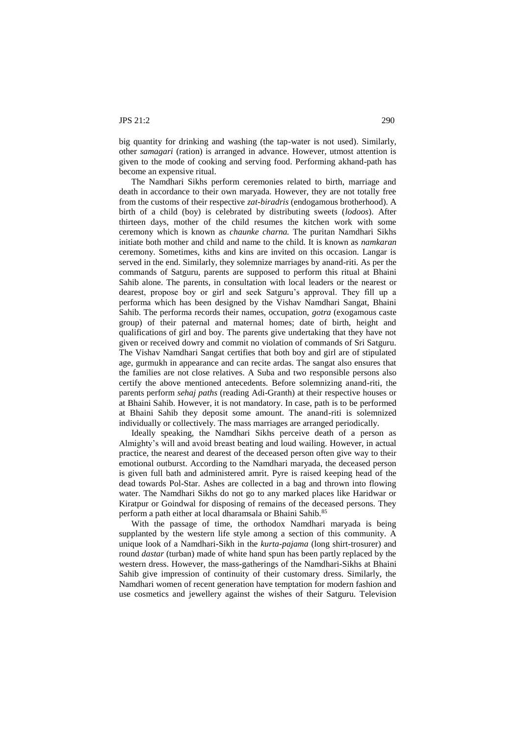big quantity for drinking and washing (the tap-water is not used). Similarly, other *samagari* (ration) is arranged in advance. However, utmost attention is given to the mode of cooking and serving food. Performing akhand-path has become an expensive ritual.

The Namdhari Sikhs perform ceremonies related to birth, marriage and death in accordance to their own maryada. However, they are not totally free from the customs of their respective *zat-biradris* (endogamous brotherhood). A birth of a child (boy) is celebrated by distributing sweets (*lodoos*). After thirteen days, mother of the child resumes the kitchen work with some ceremony which is known as *chaunke charna.* The puritan Namdhari Sikhs initiate both mother and child and name to the child. It is known as *namkaran* ceremony. Sometimes, kiths and kins are invited on this occasion. Langar is served in the end. Similarly, they solemnize marriages by anand-riti. As per the commands of Satguru, parents are supposed to perform this ritual at Bhaini Sahib alone. The parents, in consultation with local leaders or the nearest or dearest, propose boy or girl and seek Satguru's approval. They fill up a performa which has been designed by the Vishav Namdhari Sangat, Bhaini Sahib. The performa records their names, occupation, *gotra* (exogamous caste group) of their paternal and maternal homes; date of birth, height and qualifications of girl and boy. The parents give undertaking that they have not given or received dowry and commit no violation of commands of Sri Satguru. The Vishav Namdhari Sangat certifies that both boy and girl are of stipulated age, gurmukh in appearance and can recite ardas. The sangat also ensures that the families are not close relatives. A Suba and two responsible persons also certify the above mentioned antecedents. Before solemnizing anand-riti, the parents perform *sehaj paths* (reading Adi-Granth) at their respective houses or at Bhaini Sahib. However, it is not mandatory. In case, path is to be performed at Bhaini Sahib they deposit some amount. The anand-riti is solemnized individually or collectively. The mass marriages are arranged periodically.

Ideally speaking, the Namdhari Sikhs perceive death of a person as Almighty's will and avoid breast beating and loud wailing. However, in actual practice, the nearest and dearest of the deceased person often give way to their emotional outburst. According to the Namdhari maryada, the deceased person is given full bath and administered amrit. Pyre is raised keeping head of the dead towards Pol-Star. Ashes are collected in a bag and thrown into flowing water. The Namdhari Sikhs do not go to any marked places like Haridwar or Kiratpur or Goindwal for disposing of remains of the deceased persons. They perform a path either at local dharamsala or Bhaini Sahib.<sup>85</sup>

With the passage of time, the orthodox Namdhari maryada is being supplanted by the western life style among a section of this community. A unique look of a Namdhari-Sikh in the *kurta-pajama* (long shirt-trosurer) and round *dastar* (turban) made of white hand spun has been partly replaced by the western dress. However, the mass-gatherings of the Namdhari-Sikhs at Bhaini Sahib give impression of continuity of their customary dress. Similarly, the Namdhari women of recent generation have temptation for modern fashion and use cosmetics and jewellery against the wishes of their Satguru. Television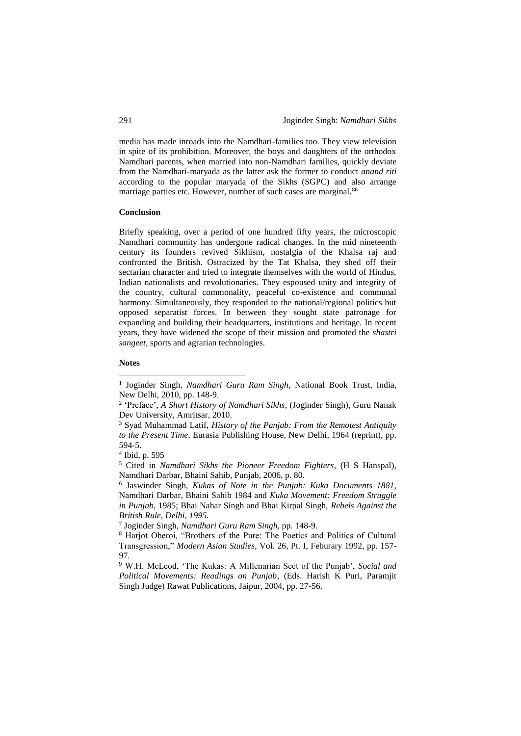media has made inroads into the Namdhari-families too. They view television in spite of its prohibition. Moreover, the boys and daughters of the orthodox Namdhari parents, when married into non-Namdhari families, quickly deviate from the Namdhari-maryada as the latter ask the former to conduct *anand riti* according to the popular maryada of the Sikhs (SGPC) and also arrange marriage parties etc. However, number of such cases are marginal.<sup>86</sup>

## **Conclusion**

Briefly speaking, over a period of one hundred fifty years, the microscopic Namdhari community has undergone radical changes. In the mid nineteenth century its founders revived Sikhism, nostalgia of the Khalsa raj and confronted the British. Ostracized by the Tat Khalsa, they shed off their sectarian character and tried to integrate themselves with the world of Hindus, Indian nationalists and revolutionaries. They espoused unity and integrity of the country, cultural commonality, peaceful co-existence and communal harmony. Simultaneously, they responded to the national/regional politics but opposed separatist forces. In between they sought state patronage for expanding and building their headquarters, institutions and heritage. In recent years, they have widened the scope of their mission and promoted the *shastri sangeet*, sports and agrarian technologies.

# **Notes**

<u>.</u>

<sup>&</sup>lt;sup>1</sup> Joginder Singh, *Namdhari Guru Ram Singh*, National Book Trust, India, New Delhi, 2010, pp. 148-9.

<sup>2</sup> 'Preface', *A Short History of Namdhari Sikhs*, (Joginder Singh), Guru Nanak Dev University, Amritsar, 2010.

<sup>3</sup> Syad Muhammad Latif, *History of the Panjab: From the Remotest Antiquity to the Present Time,* Eurasia Publishing House, New Delhi, 1964 (reprint), pp. 594-5.

<sup>4</sup> Ibid, p. 595

<sup>5</sup> Cited in *Namdhari Sikhs the Pioneer Freedom Fighters*, (H S Hanspal), Namdhari Darbar, Bhaini Sahib, Punjab, 2006, p. 80.

<sup>6</sup> Jaswinder Singh, *Kukas of Note in the Punjab: Kuka Documents 1881,*  Namdhari Darbar, Bhaini Sahib 1984 and *Kuka Movement: Freedom Struggle in Punjab,* 1985; Bhai Nahar Singh and Bhai Kirpal Singh, *Rebels Against the British Rule, Delhi, 1995.*

<sup>7</sup> Joginder Singh, *Namdhari Guru Ram Singh,* pp. 148-9.

<sup>8</sup> Harjot Oberoi, "Brothers of the Pure: The Poetics and Politics of Cultural Transgression," *Modern Asian Studies*, Vol. 26, Pt. I, Feburary 1992, pp. 157- 97.

<sup>9</sup> W.H. McLeod, 'The Kukas: A Millenarian Sect of the Punjab', *Social and Political Movements: Readings on Punjab*, (Eds. Harish K Puri, Paramjit Singh Judge) Rawat Publications, Jaipur, 2004, pp. 27-56.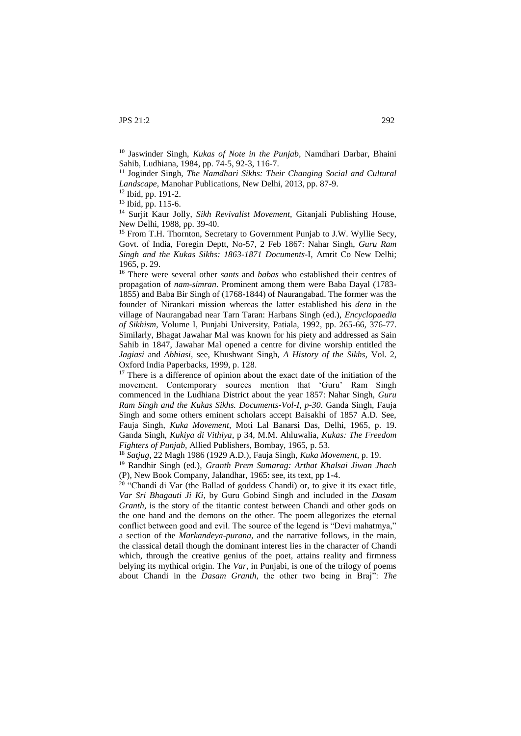1

<sup>16</sup> There were several other *sants* and *babas* who established their centres of propagation of *nam-simran*. Prominent among them were Baba Dayal (1783- 1855) and Baba Bir Singh of (1768-1844) of Naurangabad. The former was the founder of Nirankari mission whereas the latter established his *dera* in the village of Naurangabad near Tarn Taran: Harbans Singh (ed.), *Encyclopaedia of Sikhism*, Volume I, Punjabi University, Patiala, 1992, pp. 265-66, 376-77. Similarly, Bhagat Jawahar Mal was known for his piety and addressed as Sain Sahib in 1847, Jawahar Mal opened a centre for divine worship entitled the *Jagiasi* and *Abhiasi*, see, Khushwant Singh, *A History of the Sikhs*, Vol. 2, Oxford India Paperbacks, 1999, p. 128.

<sup>17</sup> There is a difference of opinion about the exact date of the initiation of the movement. Contemporary sources mention that 'Guru' Ram Singh commenced in the Ludhiana District about the year 1857: Nahar Singh, *Guru Ram Singh and the Kukas Sikhs. Documents-Vol-I, p-30*. Ganda Singh, Fauja Singh and some others eminent scholars accept Baisakhi of 1857 A.D. See, Fauja Singh, *Kuka Movement,* Moti Lal Banarsi Das, Delhi, 1965, p. 19. Ganda Singh, *Kukiya di Vithiya*, p 34, M.M. Ahluwalia, *Kukas: The Freedom Fighters of Punjab,* Allied Publishers, Bombay, 1965, p. 53.

<sup>20</sup> "Chandi di Var (the Ballad of goddess Chandi) or, to give it its exact title, *Var Sri Bhagauti Ji Ki*, by Guru Gobind Singh and included in the *Dasam Granth*, is the story of the titantic contest between Chandi and other gods on the one hand and the demons on the other. The poem allegorizes the eternal conflict between good and evil. The source of the legend is "Devi mahatmya," a section of the *Markandeya-purana,* and the narrative follows, in the main, the classical detail though the dominant interest lies in the character of Chandi which, through the creative genius of the poet, attains reality and firmness belying its mythical origin. The *Var*, in Punjabi, is one of the trilogy of poems about Chandi in the *Dasam Granth,* the other two being in Braj": *The* 

<sup>10</sup> Jaswinder Singh, *Kukas of Note in the Punjab,* Namdhari Darbar, Bhaini Sahib, Ludhiana, 1984, pp. 74-5, 92-3, 116-7.

<sup>&</sup>lt;sup>11</sup> Joginder Singh, *The Namdhari Sikhs: Their Changing Social and Cultural Landscape*, Manohar Publications, New Delhi, 2013, pp. 87-9.

<sup>12</sup> Ibid, pp. 191-2.

<sup>13</sup> Ibid, pp. 115-6.

<sup>14</sup> Surjit Kaur Jolly, *Sikh Revivalist Movement,* Gitanjali Publishing House, New Delhi, 1988, pp. 39-40.

<sup>&</sup>lt;sup>15</sup> From T.H. Thornton, Secretary to Government Punjab to J.W. Wyllie Secy, Govt. of India, Foregin Deptt, No-57, 2 Feb 1867: Nahar Singh, *Guru Ram Singh and the Kukas Sikhs: 1863-1871 Documents-*I, Amrit Co New Delhi; 1965, p. 29.

<sup>18</sup> *Satjug*, 22 Magh 1986 (1929 A.D.), Fauja Singh, *Kuka Movement*, p. 19.

<sup>19</sup> Randhir Singh (ed.), *Granth Prem Sumarag: Arthat Khalsai Jiwan Jhach*  (P), New Book Company, Jalandhar, 1965: see, its text, pp 1-4.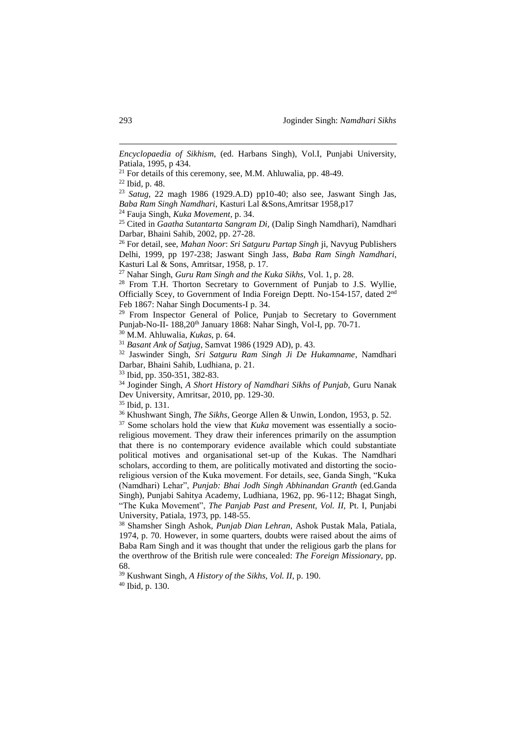<sup>24</sup> Fauja Singh, *Kuka Movement*, p. 34.

<sup>25</sup> Cited in *Gaatha Sutantarta Sangram Di,* (Dalip Singh Namdhari), Namdhari Darbar, Bhaini Sahib, 2002, pp. 27-28.

<sup>26</sup> For detail, see, *Mahan Noor*: *Sri Satguru Partap Singh* ji, Navyug Publishers Delhi, 1999, pp 197-238; Jaswant Singh Jass, *Baba Ram Singh Namdhari*, Kasturi Lal & Sons, Amritsar, 1958, p. 17.

<sup>27</sup> Nahar Singh, *Guru Ram Singh and the Kuka Sikhs*, Vol. 1, p. 28.

<sup>28</sup> From T.H. Thorton Secretary to Government of Punjab to J.S. Wyllie, Officially Scey, to Government of India Foreign Deptt. No-154-157, dated 2nd Feb 1867: Nahar Singh Documents-I p. 34.

<sup>29</sup> From Inspector General of Police, Punjab to Secretary to Government Punjab-No-II- 188,20<sup>th</sup> January 1868: Nahar Singh, Vol-I, pp. 70-71.

<sup>30</sup> M.M. Ahluwalia, *Kukas*, p. 64.

<sup>31</sup> *Basant Ank of Satjug*, Samvat 1986 (1929 AD), p. 43.

<sup>32</sup> Jaswinder Singh, *Sri Satguru Ram Singh Ji De Hukamname*, Namdhari Darbar, Bhaini Sahib, Ludhiana, p. 21.

<sup>33</sup> Ibid, pp. 350-351, 382-83.

<sup>34</sup> Joginder Singh, *A Short History of Namdhari Sikhs of Punjab,* Guru Nanak Dev University, Amritsar, 2010, pp. 129-30.

<sup>35</sup> Ibid, p. 131.

<sup>36</sup> Khushwant Singh, *The Sikhs*, George Allen & Unwin, London, 1953, p. 52.

<sup>37</sup> Some scholars hold the view that *Kuka* movement was essentially a socioreligious movement. They draw their inferences primarily on the assumption that there is no contemporary evidence available which could substantiate political motives and organisational set-up of the Kukas. The Namdhari scholars, according to them, are politically motivated and distorting the socioreligious version of the Kuka movement. For details, see, Ganda Singh, "Kuka (Namdhari) Lehar", *Punjab: Bhai Jodh Singh Abhinandan Granth* (ed.Ganda Singh), Punjabi Sahitya Academy, Ludhiana, 1962, pp. 96-112; Bhagat Singh, "The Kuka Movement", *The Panjab Past and Present, Vol. II,* Pt. I, Punjabi University, Patiala, 1973, pp. 148-55.

<sup>38</sup> Shamsher Singh Ashok, *Punjab Dian Lehran,* Ashok Pustak Mala, Patiala, 1974, p. 70. However, in some quarters, doubts were raised about the aims of Baba Ram Singh and it was thought that under the religious garb the plans for the overthrow of the British rule were concealed: *The Foreign Missionary*, pp. 68.

<sup>39</sup> Kushwant Singh, *A History of the Sikhs, Vol. II,* p. 190. <sup>40</sup> Ibid, p. 130.

1

*Encyclopaedia of Sikhism*, (ed. Harbans Singh), Vol.I, Punjabi University, Patiala, 1995, p 434.

 $21$  For details of this ceremony, see, M.M. Ahluwalia, pp. 48-49.

<sup>22</sup> Ibid, p. 48.

<sup>23</sup> *Satug,* 22 magh 1986 (1929.A.D) pp10-40; also see, Jaswant Singh Jas, *Baba Ram Singh Namdhari*, Kasturi Lal &Sons,Amritsar 1958,p17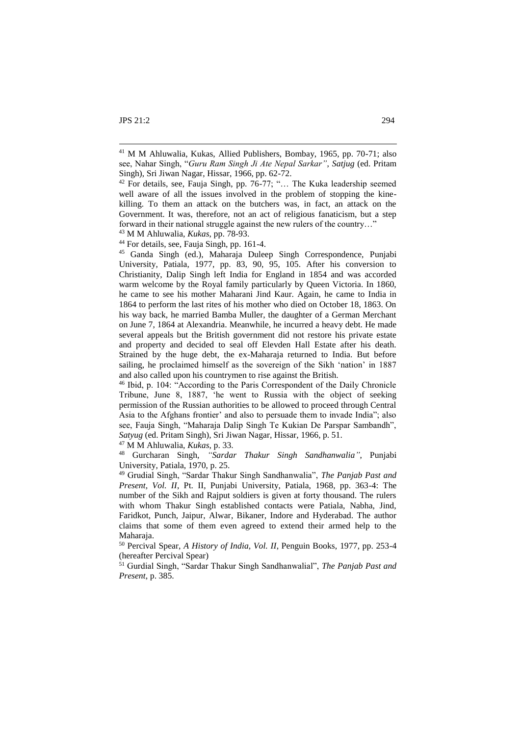1

<sup>43</sup> M M Ahluwalia, *Kukas*, pp. 78-93.

<sup>44</sup> For details, see, Fauja Singh, pp. 161-4.

<sup>45</sup> Ganda Singh (ed.), Maharaja Duleep Singh Correspondence, Punjabi University, Patiala, 1977, pp. 83, 90, 95, 105. After his conversion to Christianity, Dalip Singh left India for England in 1854 and was accorded warm welcome by the Royal family particularly by Queen Victoria. In 1860, he came to see his mother Maharani Jind Kaur. Again, he came to India in 1864 to perform the last rites of his mother who died on October 18, 1863. On his way back, he married Bamba Muller, the daughter of a German Merchant on June 7, 1864 at Alexandria. Meanwhile, he incurred a heavy debt. He made several appeals but the British government did not restore his private estate and property and decided to seal off Elevden Hall Estate after his death. Strained by the huge debt, the ex-Maharaja returned to India. But before sailing, he proclaimed himself as the sovereign of the Sikh 'nation' in 1887 and also called upon his countrymen to rise against the British.

<sup>46</sup> Ibid, p. 104: "According to the Paris Correspondent of the Daily Chronicle Tribune, June 8, 1887, 'he went to Russia with the object of seeking permission of the Russian authorities to be allowed to proceed through Central Asia to the Afghans frontier' and also to persuade them to invade India"; also see, Fauja Singh, "Maharaja Dalip Singh Te Kukian De Parspar Sambandh", *Satyug* (ed. Pritam Singh), Sri Jiwan Nagar, Hissar, 1966, p. 51.

<sup>47</sup> M M Ahluwalia, *Kukas*, p. 33.

<sup>48</sup> Gurcharan Singh, *"Sardar Thakur Singh Sandhanwalia"*, Punjabi University, Patiala, 1970, p. 25.

<sup>49</sup> Grudial Singh, "Sardar Thakur Singh Sandhanwalia", *The Panjab Past and Present, Vol. II*, Pt. II, Punjabi University, Patiala, 1968, pp. 363-4: The number of the Sikh and Rajput soldiers is given at forty thousand. The rulers with whom Thakur Singh established contacts were Patiala, Nabha, Jind, Faridkot, Punch, Jaipur, Alwar, Bikaner, Indore and Hyderabad. The author claims that some of them even agreed to extend their armed help to the Maharaja.

<sup>50</sup> Percival Spear, *A History of India, Vol. II*, Penguin Books, 1977, pp. 253-4 (hereafter Percival Spear)

<sup>51</sup> Gurdial Singh, "Sardar Thakur Singh Sandhanwalial", *The Panjab Past and Present*, p. 385.

<sup>41</sup> M M Ahluwalia, Kukas, Allied Publishers, Bombay, 1965, pp. 70-71; also see, Nahar Singh, "*Guru Ram Singh Ji Ate Nepal Sarkar"*, *Satjug* (ed. Pritam Singh), Sri Jiwan Nagar, Hissar, 1966, pp. 62-72.

 $42$  For details, see, Fauja Singh, pp. 76-77; "... The Kuka leadership seemed well aware of all the issues involved in the problem of stopping the kinekilling. To them an attack on the butchers was, in fact, an attack on the Government. It was, therefore, not an act of religious fanaticism, but a step forward in their national struggle against the new rulers of the country…"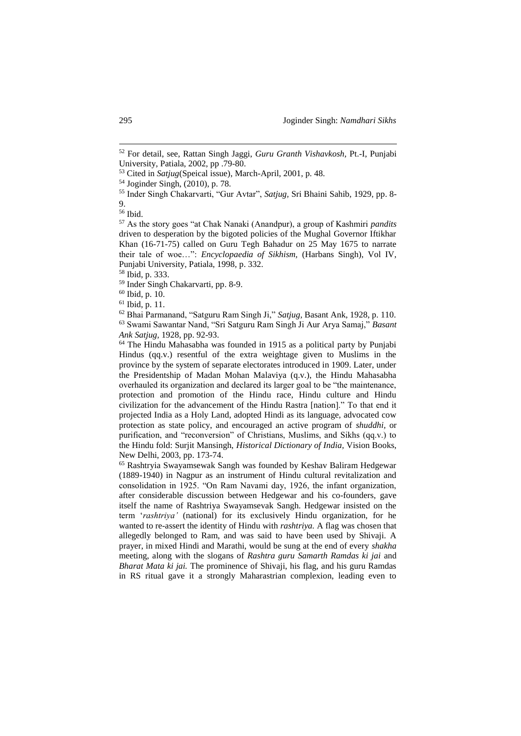<sup>58</sup> Ibid, p. 333.

1

<sup>52</sup> For detail, see, Rattan Singh Jaggi, *Guru Granth Vishavkosh,* Pt.-I, Punjabi University, Patiala, 2002, pp .79-80.

<sup>53</sup> Cited in *Satjug*(Speical issue), March-April, 2001, p. 48.

<sup>54</sup> Joginder Singh, (2010), p. 78.

<sup>55</sup> Inder Singh Chakarvarti, "Gur Avtar", *Satjug,* Sri Bhaini Sahib, 1929, pp. 8- 9.

<sup>56</sup> Ibid.

<sup>57</sup> As the story goes "at Chak Nanaki (Anandpur), a group of Kashmiri *pandits*  driven to desperation by the bigoted policies of the Mughal Governor Iftikhar Khan (16-71-75) called on Guru Tegh Bahadur on 25 May 1675 to narrate their tale of woe…": *Encyclopaedia of Sikhism,* (Harbans Singh), Vol IV, Punjabi University, Patiala, 1998, p. 332.

<sup>59</sup> Inder Singh Chakarvarti, pp. 8-9.

<sup>60</sup> Ibid, p. 10.

<sup>61</sup> Ibid, p. 11.

<sup>62</sup> Bhai Parmanand, "Satguru Ram Singh Ji," *Satjug,* Basant Ank, 1928, p. 110. <sup>63</sup> Swami Sawantar Nand, "Sri Satguru Ram Singh Ji Aur Arya Samaj," *Basant Ank Satjug,* 1928, pp. 92-93.

<sup>64</sup> The Hindu Mahasabha was founded in 1915 as a political party by Punjabi Hindus (qq.v.) resentful of the extra weightage given to Muslims in the province by the system of separate electorates introduced in 1909. Later, under the Presidentship of Madan Mohan Malaviya (q.v.), the Hindu Mahasabha overhauled its organization and declared its larger goal to be "the maintenance, protection and promotion of the Hindu race, Hindu culture and Hindu civilization for the advancement of the Hindu Rastra [nation]." To that end it projected India as a Holy Land, adopted Hindi as its language, advocated cow protection as state policy, and encouraged an active program of *shuddhi,* or purification, and "reconversion" of Christians, Muslims, and Sikhs (qq.v.) to the Hindu fold: Surjit Mansingh, *Historical Dictionary of India,* Vision Books, New Delhi, 2003, pp. 173-74.

<sup>65</sup> Rashtryia Swayamsewak Sangh was founded by Keshav Baliram Hedgewar (1889-1940) in Nagpur as an instrument of Hindu cultural revitalization and consolidation in 1925. "On Ram Navami day, 1926, the infant organization, after considerable discussion between Hedgewar and his co-founders, gave itself the name of Rashtriya Swayamsevak Sangh. Hedgewar insisted on the term '*rashtriya'* (national) for its exclusively Hindu organization, for he wanted to re-assert the identity of Hindu with *rashtriya.* A flag was chosen that allegedly belonged to Ram, and was said to have been used by Shivaji. A prayer, in mixed Hindi and Marathi, would be sung at the end of every *shakha*  meeting, along with the slogans of *Rashtra guru Samarth Ramdas ki jai* and *Bharat Mata ki jai.* The prominence of Shivaji, his flag, and his guru Ramdas in RS ritual gave it a strongly Maharastrian complexion, leading even to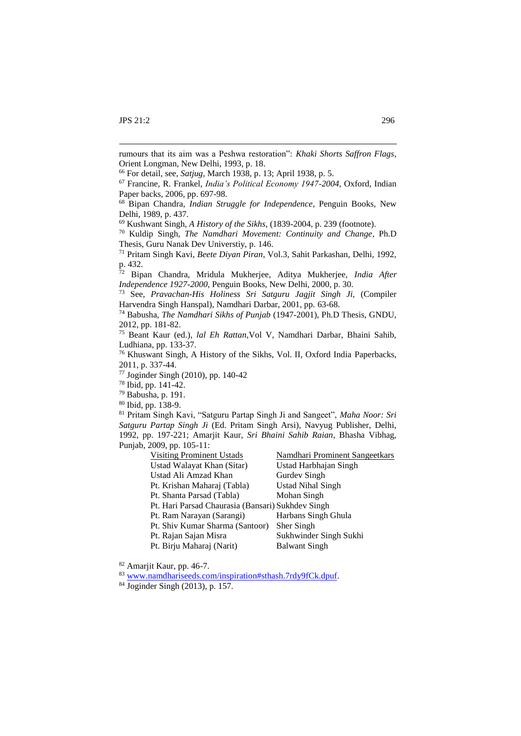1

<sup>78</sup> Ibid, pp. 141-42.

| <b>Visiting Prominent Ustads</b>                  | <b>Namdhari Prominent Sangeetkars</b> |
|---------------------------------------------------|---------------------------------------|
| Ustad Walayat Khan (Sitar)                        | Ustad Harbhajan Singh                 |
| Ustad Ali Amzad Khan                              | Gurdev Singh                          |
| Pt. Krishan Maharaj (Tabla)                       | <b>Ustad Nihal Singh</b>              |
| Pt. Shanta Parsad (Tabla)                         | Mohan Singh                           |
| Pt. Hari Parsad Chaurasia (Bansari) Sukhdev Singh |                                       |
| Pt. Ram Narayan (Sarangi)                         | Harbans Singh Ghula                   |
| Pt. Shiv Kumar Sharma (Santoor)                   | Sher Singh                            |
| Pt. Rajan Sajan Misra                             | Sukhwinder Singh Sukhi                |
| Pt. Birju Maharaj (Narit)                         | <b>Balwant Singh</b>                  |

<sup>82</sup> Amarjit Kaur, pp. 46-7.

rumours that its aim was a Peshwa restoration": *Khaki Shorts Saffron Flags*, Orient Longman, New Delhi, 1993, p. 18.

<sup>66</sup> For detail, see, *Satjug,* March 1938, p. 13; April 1938, p. 5.

<sup>67</sup> Francine, R. Frankel, *India's Political Economy 1947-2004,* Oxford, Indian Paper backs, 2006, pp. 697-98.

<sup>68</sup> Bipan Chandra, *Indian Struggle for Independence*, Penguin Books, New Delhi, 1989, p. 437.

<sup>69</sup> Kushwant Singh, *A History of the Sikhs*, (1839-2004, p. 239 (footnote).

<sup>70</sup> Kuldip Singh, *The Namdhari Movement: Continuity and Change*, Ph.D Thesis, Guru Nanak Dev Universtiy, p. 146.

<sup>71</sup> Pritam Singh Kavi, *Beete Diyan Piran*, Vol.3, Sahit Parkashan, Delhi, 1992, p. 432.

<sup>72</sup> Bipan Chandra, Mridula Mukherjee, Aditya Mukherjee, *India After Independence 1927-2000,* Penguin Books, New Delhi, 2000, p. 30.

<sup>73</sup> See, *Pravachan-His Holiness Sri Satguru Jagjit Singh Ji,* (Compiler Harvendra Singh Hanspal), Namdhari Darbar, 2001, pp. 63-68.

<sup>74</sup> Babusha, *The Namdhari Sikhs of Punjab* (1947-2001), Ph.D Thesis, GNDU, 2012, pp. 181-82.

<sup>75</sup> Beant Kaur (ed.), *lal Eh Rattan*,Vol V, Namdhari Darbar, Bhaini Sahib, Ludhiana, pp. 133-37.

<sup>76</sup> Khuswant Singh, A History of the Sikhs, Vol. II, Oxford India Paperbacks, 2011, p. 337-44.

<sup>77</sup> Joginder Singh (2010), pp. 140-42

<sup>79</sup> Babusha, p. 191.

<sup>80</sup> Ibid, pp. 138-9.

<sup>81</sup> Pritam Singh Kavi, "Satguru Partap Singh Ji and Sangeet", *Maha Noor: Sri Satguru Partap Singh Ji* (Ed. Pritam Singh Arsi), Navyug Publisher, Delhi, 1992, pp. 197-221; Amarjit Kaur, *Sri Bhaini Sahib Raian*, Bhasha Vibhag, Punjab, 2009, pp. 105-11:

<sup>83</sup> [www.namdhariseeds.com/inspiration#sthash.7rdy9fCk.dpuf.](http://www.namdhariseeds.com/inspiration#sthash.7rdy9fCk.dpuf)

<sup>84</sup> Joginder Singh (2013), p. 157.